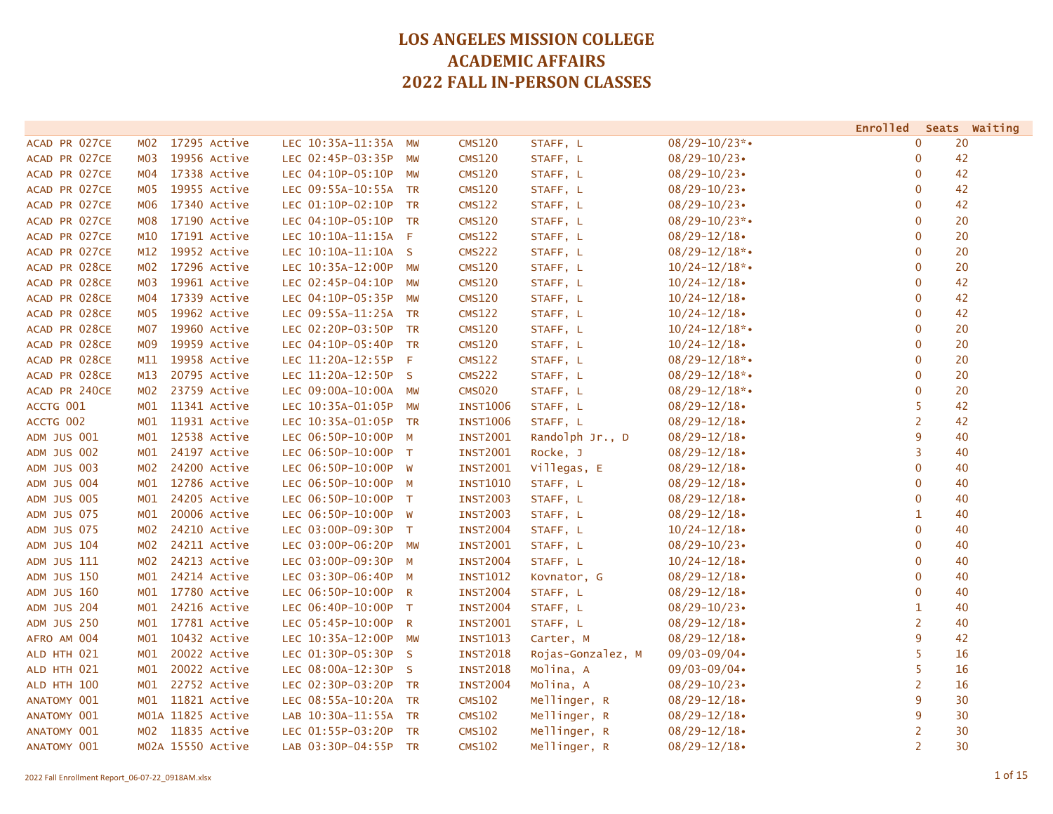|                    |                  |                   |                      |                |                 |                   |                    | Enrolled       | Seats Waiting |
|--------------------|------------------|-------------------|----------------------|----------------|-----------------|-------------------|--------------------|----------------|---------------|
| ACAD PR 027CE      | M <sub>0</sub> 2 | 17295 Active      | LEC 10:35A-11:35A    | MW             | CMS120          | STAFF, L          | $08/29 - 10/23$ *• | $\mathbf 0$    | 20            |
| ACAD PR 027CE      | M <sub>0</sub> 3 | 19956 Active      | LEC 02:45P-03:35P    | <b>MW</b>      | <b>CMS120</b>   | STAFF, L          | $08/29 - 10/23$    | $\mathbf 0$    | 42            |
| ACAD PR 027CE      | M04              | 17338 Active      | LEC 04:10P-05:10P    | MW             | <b>CMS120</b>   | STAFF, L          | $08/29 - 10/23$    | $\mathbf 0$    | 42            |
| ACAD PR 027CE      | M <sub>0</sub> 5 | 19955 Active      | LEC 09:55A-10:55A TR |                | <b>CMS120</b>   | STAFF, L          | $08/29 - 10/23$    | $\mathbf 0$    | 42            |
| ACAD PR 027CE      | M06              | 17340 Active      | LEC 01:10P-02:10P    | <b>TR</b>      | <b>CMS122</b>   | STAFF, L          | $08/29 - 10/23$    | 0              | 42            |
| ACAD PR 027CE      | <b>MO8</b>       | 17190 Active      | LEC 04:10P-05:10P    | <b>TR</b>      | <b>CMS120</b>   | STAFF, L          | $08/29 - 10/23$ *• | $\mathbf 0$    | 20            |
| ACAD PR 027CE      | M10              | 17191 Active      | LEC 10:10A-11:15A F  |                | <b>CMS122</b>   | STAFF, L          | $08/29 - 12/18$    | $\mathbf 0$    | 20            |
| ACAD PR 027CE      | M12              | 19952 Active      | LEC 10:10A-11:10A S  |                | <b>CMS222</b>   | STAFF, L          | $08/29 - 12/18$ *• | $\mathbf 0$    | 20            |
| ACAD PR 028CE      | M02              | 17296 Active      | LEC 10:35A-12:00P    | MW             | CMS120          | STAFF, L          | $10/24 - 12/18$ *• | $\mathbf 0$    | 20            |
| ACAD PR 028CE      | M <sub>0</sub> 3 | 19961 Active      | LEC 02:45P-04:10P    | <b>MW</b>      | <b>CMS120</b>   | STAFF, L          | $10/24 - 12/18$    | $\mathbf 0$    | 42            |
| ACAD PR 028CE      | MO4              | 17339 Active      | LEC 04:10P-05:35P    | MW             | <b>CMS120</b>   | STAFF, L          | $10/24 - 12/18$    | $\overline{0}$ | 42            |
| ACAD PR 028CE      | MO5              | 19962 Active      | LEC 09:55A-11:25A    | <b>TR</b>      | CMS122          | STAFF, L          | $10/24 - 12/18$    | $\mathbf 0$    | 42            |
| ACAD PR 028CE      | <b>MO7</b>       | 19960 Active      | LEC 02:20P-03:50P    | <b>TR</b>      | <b>CMS120</b>   | STAFF, L          | $10/24 - 12/18$ *• | $\mathbf{0}$   | 20            |
| ACAD PR 028CE      | M <sub>09</sub>  | 19959 Active      | LEC 04:10P-05:40P    | <b>TR</b>      | <b>CMS120</b>   | STAFF, L          | $10/24 - 12/18$    | $\mathbf{0}$   | 20            |
| ACAD PR 028CE      | M11              | 19958 Active      | LEC 11:20A-12:55P F  |                | <b>CMS122</b>   | STAFF, L          | $08/29 - 12/18$ *• | $\mathbf 0$    | 20            |
| ACAD PR 028CE      | M13              | 20795 Active      | LEC 11:20A-12:50P    | $\mathsf{S}$   | <b>CMS222</b>   | STAFF, L          | $08/29 - 12/18$ *• | $\mathbf 0$    | 20            |
| ACAD PR 240CE      | M <sub>0</sub> 2 | 23759 Active      | LEC 09:00A-10:00A    | <b>MW</b>      | <b>CMS020</b>   | STAFF, L          | $08/29 - 12/18$ *• | $\mathbf 0$    | 20            |
| ACCTG 001          | MO1              | 11341 Active      | LEC 10:35A-01:05P    | <b>MW</b>      | <b>INST1006</b> | STAFF, L          | $08/29 - 12/18$    | 5              | 42            |
| ACCTG 002          | MO1              | 11931 Active      | LEC 10:35A-01:05P    | <b>TR</b>      | <b>INST1006</b> | STAFF, L          | $08/29 - 12/18$    | $\overline{2}$ | 42            |
| <b>ADM JUS 001</b> | MO1              | 12538 Active      | LEC 06:50P-10:00P    | M              | <b>INST2001</b> | Randolph Jr., D   | $08/29 - 12/18$    | 9              | 40            |
| ADM JUS 002        | MO1              | 24197 Active      | LEC 06:50P-10:00P    | $\top$         | <b>INST2001</b> | Rocke, J          | $08/29 - 12/18$    | 3              | 40            |
| ADM JUS 003        | M02              | 24200 Active      | LEC 06:50P-10:00P    | <b>W</b>       | <b>INST2001</b> | Villegas, E       | $08/29 - 12/18$    | $\mathbf 0$    | 40            |
| <b>ADM JUS 004</b> | MO1              | 12786 Active      | LEC 06:50P-10:00P    | $M_{\odot}$    | <b>INST1010</b> | STAFF, L          | $08/29 - 12/18$    | $\mathbf 0$    | 40            |
| <b>ADM JUS 005</b> | MO1              | 24205 Active      | LEC 06:50P-10:00P T  |                | <b>INST2003</b> | STAFF, L          | $08/29 - 12/18$    | $\mathbf 0$    | 40            |
| <b>ADM JUS 075</b> | M <sub>01</sub>  | 20006 Active      | LEC 06:50P-10:00P W  |                | <b>INST2003</b> | STAFF, L          | $08/29 - 12/18$    | $\mathbf{1}$   | 40            |
| <b>ADM JUS 075</b> | M02              | 24210 Active      | LEC 03:00P-09:30P    | $\top$         | <b>INST2004</b> | STAFF, L          | $10/24 - 12/18$    | $\mathbf 0$    | 40            |
| ADM JUS 104        | M <sub>0</sub> 2 | 24211 Active      | LEC 03:00P-06:20P    | MW             | <b>INST2001</b> | STAFF, L          | $08/29 - 10/23$    | $\mathbf 0$    | 40            |
| ADM JUS 111        | M <sub>0</sub> 2 | 24213 Active      | LEC 03:00P-09:30P    | M              | <b>INST2004</b> | STAFF, L          | $10/24 - 12/18$    | $\mathbf 0$    | 40            |
| <b>ADM JUS 150</b> | M <sub>01</sub>  | 24214 Active      | LEC 03:30P-06:40P    | M              | <b>INST1012</b> | Kovnator, G       | $08/29 - 12/18$    | $\mathbf{0}$   | 40            |
| <b>ADM JUS 160</b> | M <sub>01</sub>  | 17780 Active      | LEC 06:50P-10:00P    | $\overline{R}$ | <b>INST2004</b> | STAFF, L          | $08/29 - 12/18$    | $\mathbf 0$    | 40            |
| <b>ADM JUS 204</b> | M <sub>01</sub>  | 24216 Active      | LEC 06:40P-10:00P T  |                | <b>INST2004</b> | STAFF, L          | $08/29 - 10/23$    | $\mathbf{1}$   | 40            |
| <b>ADM JUS 250</b> | MO1              | 17781 Active      | LEC 05:45P-10:00P    | $\mathsf{R}$   | <b>INST2001</b> | STAFF, L          | $08/29 - 12/18$    | 2              | 40            |
| AFRO AM 004        | MO1              | 10432 Active      | LEC 10:35A-12:00P    | <b>MW</b>      | <b>INST1013</b> | Carter, M         | $08/29 - 12/18$    | 9              | 42            |
| ALD HTH 021        | MO1              | 20022 Active      | LEC 01:30P-05:30P    | <sub>S</sub>   | <b>INST2018</b> | Rojas-Gonzalez, M | $09/03 - 09/04$    | 5              | 16            |
| ALD HTH 021        | M01              | 20022 Active      | LEC 08:00A-12:30P    | $\mathsf{S}$   | <b>INST2018</b> | Molina, A         | $09/03 - 09/04$    | 5              | 16            |
| ALD HTH 100        | MO1              | 22752 Active      | LEC 02:30P-03:20P    | <b>TR</b>      | <b>INST2004</b> | Molina, A         | $08/29 - 10/23$    | $\overline{2}$ | 16            |
| ANATOMY 001        | MO1              | 11821 Active      | LEC 08:55A-10:20A TR |                | <b>CMS102</b>   | Mellinger, R      | $08/29 - 12/18$    | 9              | 30            |
| ANATOMY 001        |                  | M01A 11825 Active | LAB 10:30A-11:55A    | TR             | <b>CMS102</b>   | Mellinger, R      | $08/29 - 12/18$    | 9              | 30            |
| ANATOMY 001        | M02              | 11835 Active      | LEC 01:55P-03:20P    | TR             | <b>CMS102</b>   | Mellinger, R      | $08/29 - 12/18$    | $\overline{2}$ | 30            |
| ANATOMY 001        |                  | M02A 15550 Active | LAB 03:30P-04:55P    | <b>TR</b>      | <b>CMS102</b>   | Mellinger, R      | $08/29 - 12/18$    | $\overline{2}$ | 30            |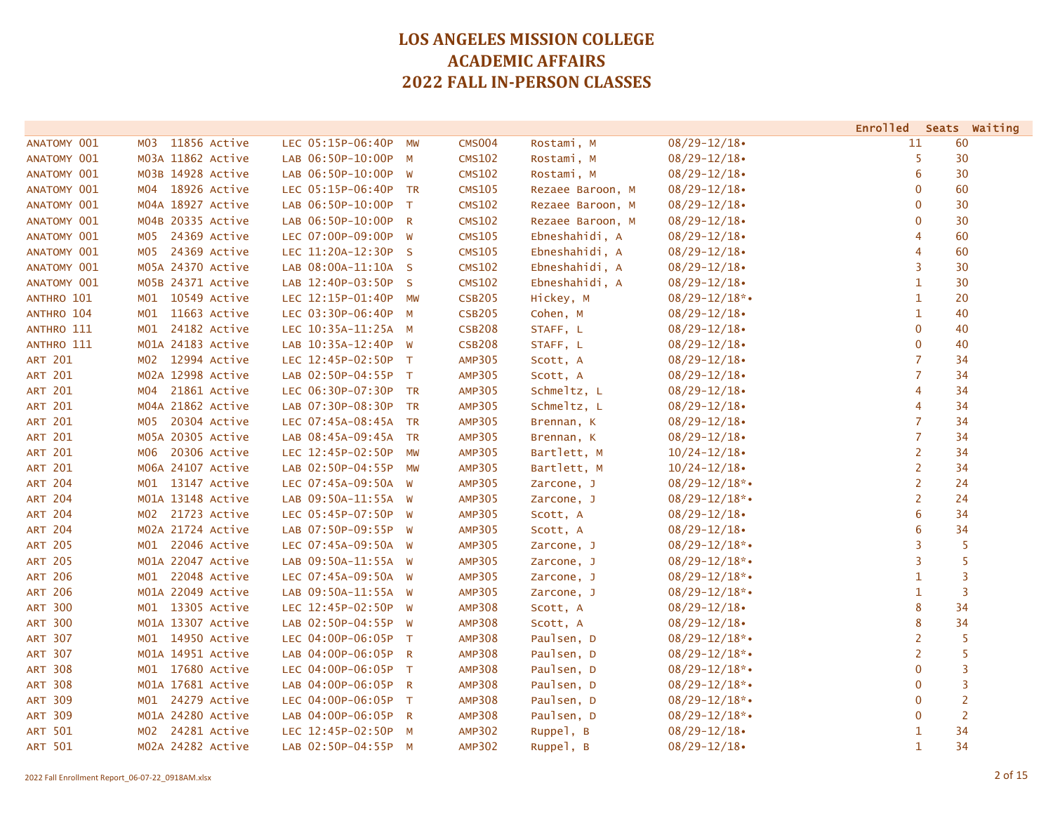|                |                     |                      |             |                    |                  |                    |                | Enrolled Seats Waiting |
|----------------|---------------------|----------------------|-------------|--------------------|------------------|--------------------|----------------|------------------------|
| ANATOMY 001    | 11856 Active<br>MO3 | LEC 05:15P-06:40P    | MW          | CMS <sub>004</sub> | Rostami, M       | $08/29 - 12/18$    | 11             | 60                     |
| ANATOMY 001    | M03A 11862 Active   | LAB 06:50P-10:00P    | $M_{\odot}$ | <b>CMS102</b>      | Rostami, M       | $08/29 - 12/18$    | 5              | 30                     |
| ANATOMY 001    | M03B 14928 Active   | LAB 06:50P-10:00P W  |             | <b>CMS102</b>      | Rostami, M       | $08/29 - 12/18$    | 6              | 30                     |
| ANATOMY 001    | M04 18926 Active    | LEC 05:15P-06:40P TR |             | <b>CMS105</b>      | Rezaee Baroon, M | $08/29 - 12/18$    | $\mathbf 0$    | 60                     |
| ANATOMY 001    | M04A 18927 Active   | LAB 06:50P-10:00P    | $\top$      | <b>CMS102</b>      | Rezaee Baroon, M | $08/29 - 12/18$    | $\mathbf 0$    | 30                     |
| ANATOMY 001    | M04B 20335 Active   | LAB 06:50P-10:00P R  |             | <b>CMS102</b>      | Rezaee Baroon, M | $08/29 - 12/18$    | $\overline{0}$ | 30                     |
| ANATOMY 001    | 24369 Active<br>MO5 | LEC 07:00P-09:00P    | <b>W</b>    | <b>CMS105</b>      | Ebneshahidi, A   | $08/29 - 12/18$    | 4              | 60                     |
| ANATOMY 001    | 24369 Active<br>MO5 | LEC 11:20A-12:30P S  |             | <b>CMS105</b>      | Ebneshahidi, A   | $08/29 - 12/18$    | 4              | 60                     |
| ANATOMY 001    | M05A 24370 Active   | LAB 08:00A-11:10A S  |             | <b>CMS102</b>      | Ebneshahidi, A   | $08/29 - 12/18$    | 3              | 30                     |
| ANATOMY 001    | M05B 24371 Active   | LAB 12:40P-03:50P S  |             | <b>CMS102</b>      | Ebneshahidi, A   | $08/29 - 12/18$    | $\mathbf{1}$   | 30                     |
| ANTHRO 101     | 10549 Active<br>MO1 | LEC 12:15P-01:40P    | <b>MW</b>   | <b>CSB205</b>      | Hickey, M        | $08/29 - 12/18$ *• | $\mathbf{1}$   | 20                     |
| ANTHRO 104     | 11663 Active<br>MO1 | LEC 03:30P-06:40P    | M           | <b>CSB205</b>      | Cohen, M         | $08/29 - 12/18$    | $\mathbf{1}$   | 40                     |
| ANTHRO 111     | 24182 Active<br>MO1 | LEC 10:35A-11:25A M  |             | <b>CSB208</b>      | STAFF, L         | $08/29 - 12/18$    | $\mathbf{0}$   | 40                     |
| ANTHRO 111     | M01A 24183 Active   | LAB 10:35A-12:40P W  |             | <b>CSB208</b>      | STAFF, L         | $08/29 - 12/18$    | $\overline{0}$ | 40                     |
| <b>ART 201</b> | 12994 Active<br>MO2 | LEC 12:45P-02:50P T  |             | <b>AMP305</b>      | Scott, A         | $08/29 - 12/18$    | $\overline{7}$ | 34                     |
| <b>ART 201</b> | M02A 12998 Active   | LAB 02:50P-04:55P T  |             | <b>AMP305</b>      | Scott, A         | $08/29 - 12/18$    | $\overline{7}$ | 34                     |
| <b>ART 201</b> | 21861 Active<br>MO4 | LEC 06:30P-07:30P TR |             | <b>AMP305</b>      | Schmeltz, L      | $08/29 - 12/18$    | 4              | 34                     |
| <b>ART 201</b> | M04A 21862 Active   | LAB 07:30P-08:30P    | <b>TR</b>   | <b>AMP305</b>      | Schmeltz, L      | $08/29 - 12/18$    | 4              | 34                     |
| <b>ART 201</b> | 20304 Active<br>MO5 | LEC 07:45A-08:45A TR |             | <b>AMP305</b>      | Brennan, K       | $08/29 - 12/18$    | $\overline{7}$ | 34                     |
| <b>ART 201</b> | M05A 20305 Active   | LAB 08:45A-09:45A TR |             | <b>AMP305</b>      | Brennan, K       | $08/29 - 12/18$    | $\overline{7}$ | 34                     |
| <b>ART 201</b> | 20306 Active<br>м06 | LEC 12:45P-02:50P    | MW          | <b>AMP305</b>      | Bartlett, M      | $10/24 - 12/18$    | 2              | 34                     |
| <b>ART 201</b> | M06A 24107 Active   | LAB 02:50P-04:55P    | MW          | <b>AMP305</b>      | Bartlett, M      | $10/24 - 12/18$    | 2              | 34                     |
| <b>ART 204</b> | M01 13147 Active    | LEC 07:45A-09:50A    | <b>W</b>    | <b>AMP305</b>      | Zarcone, J       | $08/29 - 12/18$ *• | $\overline{2}$ | 24                     |
| <b>ART 204</b> | M01A 13148 Active   | LAB 09:50A-11:55A W  |             | <b>AMP305</b>      | Zarcone, J       | $08/29 - 12/18$ *• | $\overline{2}$ | 24                     |
| <b>ART 204</b> | M02 21723 Active    | LEC 05:45P-07:50P W  |             | <b>AMP305</b>      | Scott, A         | $08/29 - 12/18$    | 6              | 34                     |
| <b>ART 204</b> | M02A 21724 Active   | LAB 07:50P-09:55P W  |             | <b>AMP305</b>      | Scott, A         | $08/29 - 12/18$    | 6              | 34                     |
| <b>ART 205</b> | 22046 Active<br>MO1 | LEC 07:45A-09:50A W  |             | <b>AMP305</b>      | Zarcone, J       | $08/29 - 12/18$ *• | 3              | 5                      |
| <b>ART 205</b> | M01A 22047 Active   | LAB 09:50A-11:55A W  |             | <b>AMP305</b>      | Zarcone, J       | $08/29 - 12/18$ *• | 3              | 5                      |
| <b>ART 206</b> | 22048 Active<br>MO1 | LEC 07:45A-09:50A W  |             | <b>AMP305</b>      | Zarcone, J       | $08/29 - 12/18$ *• | $\mathbf{1}$   | 3                      |
| <b>ART 206</b> | M01A 22049 Active   | LAB 09:50A-11:55A W  |             | <b>AMP305</b>      | Zarcone, J       | $08/29 - 12/18$ *• | $\mathbf{1}$   | 3                      |
| <b>ART 300</b> | M01 13305 Active    | LEC 12:45P-02:50P W  |             | <b>AMP308</b>      | Scott, A         | $08/29 - 12/18$    | 8              | 34                     |
| <b>ART 300</b> | M01A 13307 Active   | LAB 02:50P-04:55P W  |             | <b>AMP308</b>      | Scott, A         | $08/29 - 12/18$    | 8              | 34                     |
| <b>ART 307</b> | M01 14950 Active    | LEC 04:00P-06:05P T  |             | <b>AMP308</b>      | Paulsen, D       | $08/29 - 12/18$ *• | $\overline{2}$ | 5                      |
| <b>ART 307</b> | M01A 14951 Active   | LAB 04:00P-06:05P R  |             | <b>AMP308</b>      | Paulsen, D       | $08/29 - 12/18$ *• | $\overline{2}$ | 5                      |
| <b>ART 308</b> | M01 17680 Active    | LEC 04:00P-06:05P T  |             | <b>AMP308</b>      | Paulsen, D       | $08/29 - 12/18$ *• | $\mathbf{0}$   | 3                      |
| <b>ART 308</b> | M01A 17681 Active   | LAB 04:00P-06:05P R  |             | <b>AMP308</b>      | Paulsen, D       | $08/29 - 12/18$ *• | $\mathbf{0}$   | 3                      |
| <b>ART 309</b> | M01 24279 Active    | LEC 04:00P-06:05P T  |             | <b>AMP308</b>      | Paulsen, D       | $08/29 - 12/18$ *• | $\mathbf{0}$   | $\overline{2}$         |
| <b>ART 309</b> | M01A 24280 Active   | LAB 04:00P-06:05P R  |             | <b>AMP308</b>      | Paulsen, D       | $08/29 - 12/18$ *• | $\mathbf{0}$   | $\overline{2}$         |
| <b>ART 501</b> | 24281 Active<br>MO2 | LEC 12:45P-02:50P    | M           | <b>AMP302</b>      | Ruppel, B        | $08/29 - 12/18$    | $\mathbf{1}$   | 34                     |
| <b>ART 501</b> | M02A 24282 Active   | LAB 02:50P-04:55P M  |             | <b>AMP302</b>      | Ruppel, B        | $08/29 - 12/18$    | $\mathbf{1}$   | 34                     |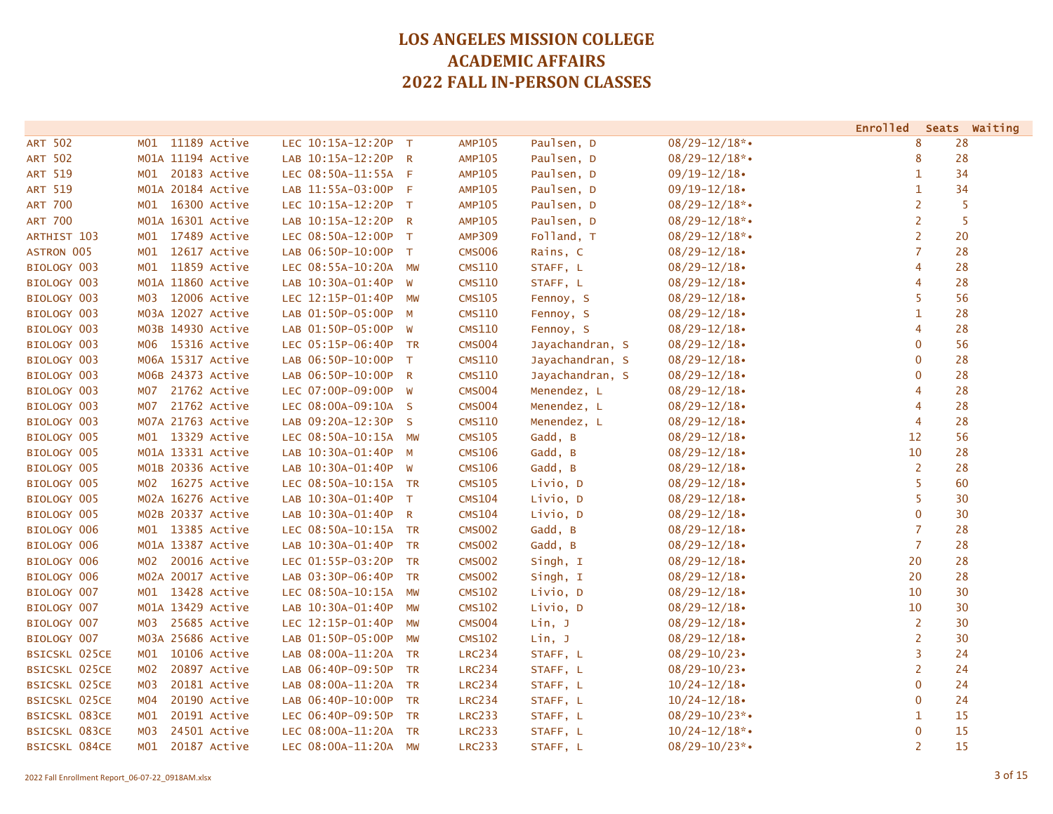|                      |                 |                   |                      |              |               |                 |                    | <b>Enrolled</b> | Seats Waiting |
|----------------------|-----------------|-------------------|----------------------|--------------|---------------|-----------------|--------------------|-----------------|---------------|
| <b>ART 502</b>       | M01             | 11189 Active      | LEC 10:15A-12:20P    | $\top$       | <b>AMP105</b> | Paulsen, D      | $08/29 - 12/18$ *• | 8               | 28            |
| <b>ART 502</b>       |                 | M01A 11194 Active | LAB 10:15A-12:20P    | $\mathsf{R}$ | <b>AMP105</b> | Paulsen, D      | $08/29 - 12/18$ *• | 8               | 28            |
| <b>ART 519</b>       | MO1             | 20183 Active      | LEC 08:50A-11:55A F  |              | <b>AMP105</b> | Paulsen, D      | $09/19 - 12/18$    | 1               | 34            |
| ART 519              |                 | M01A 20184 Active | LAB 11:55A-03:00P F  |              | <b>AMP105</b> | Paulsen, D      | $09/19 - 12/18$    | 1               | 34            |
| <b>ART 700</b>       | MO1             | 16300 Active      | LEC 10:15A-12:20P    | $\top$       | <b>AMP105</b> | Paulsen, D      | $08/29 - 12/18$ *• | 2               | 5             |
| <b>ART 700</b>       |                 | M01A 16301 Active | LAB 10:15A-12:20P    | $\mathsf{R}$ | <b>AMP105</b> | Paulsen, D      | $08/29 - 12/18$ *• | $\overline{2}$  | 5             |
| ARTHIST 103          | M01             | 17489 Active      | LEC 08:50A-12:00P    | $\top$       | <b>AMP309</b> | Folland, T      | $08/29 - 12/18$ *• | $\overline{2}$  | 20            |
| <b>ASTRON 005</b>    | M <sub>01</sub> | 12617 Active      | LAB 06:50P-10:00P T  |              | <b>CMS006</b> | Rains, C        | $08/29 - 12/18$    | $\overline{7}$  | 28            |
| BIOLOGY 003          | MO1             | 11859 Active      | LEC 08:55A-10:20A MW |              | <b>CMS110</b> | STAFF, L        | $08/29 - 12/18$    | 4               | 28            |
| BIOLOGY 003          |                 | M01A 11860 Active | LAB 10:30A-01:40P    | W            | <b>CMS110</b> | STAFF, L        | $08/29 - 12/18$    | $\overline{4}$  | 28            |
| BIOLOGY 003          | MO3             | 12006 Active      | LEC 12:15P-01:40P    | MW           | <b>CMS105</b> | Fennoy, S       | $08/29 - 12/18$    | 5               | 56            |
| BIOLOGY 003          |                 | M03A 12027 Active | LAB 01:50P-05:00P    | M            | <b>CMS110</b> | Fennoy, S       | $08/29 - 12/18$    | 1               | 28            |
| BIOLOGY 003          |                 | M03B 14930 Active | LAB 01:50P-05:00P    | <b>W</b>     | <b>CMS110</b> | Fennoy, S       | $08/29 - 12/18$    | $\overline{4}$  | 28            |
| BIOLOGY 003          |                 | M06 15316 Active  | LEC 05:15P-06:40P    | <b>TR</b>    | <b>CMS004</b> | Jayachandran, S | $08/29 - 12/18$    | $\mathbf 0$     | 56            |
| BIOLOGY 003          |                 | M06A 15317 Active | LAB 06:50P-10:00P    | $\top$       | <b>CMS110</b> | Jayachandran, S | $08/29 - 12/18$    | $\mathbf{0}$    | 28            |
| BIOLOGY 003          |                 | M06B 24373 Active | LAB 06:50P-10:00P    | R            | <b>CMS110</b> | Jayachandran, S | $08/29 - 12/18$    | $\mathbf 0$     | 28            |
| BIOLOGY 003          | M07             | 21762 Active      | LEC 07:00P-09:00P    | W            | <b>CMS004</b> | Menendez, L     | $08/29 - 12/18$    | $\overline{4}$  | 28            |
| BIOLOGY 003          | M07             | 21762 Active      | LEC 08:00A-09:10A S  |              | <b>CMS004</b> | Menendez, L     | $08/29 - 12/18$    | 4               | 28            |
| BIOLOGY 003          |                 | M07A 21763 Active | LAB 09:20A-12:30P S  |              | <b>CMS110</b> | Menendez, L     | $08/29 - 12/18$    | $\overline{4}$  | 28            |
| BIOLOGY 005          |                 | M01 13329 Active  | LEC 08:50A-10:15A MW |              | <b>CMS105</b> | Gadd, B         | $08/29 - 12/18$    | 12              | 56            |
| BIOLOGY 005          |                 | M01A 13331 Active | LAB 10:30A-01:40P M  |              | <b>CMS106</b> | Gadd, B         | $08/29 - 12/18$    | 10              | 28            |
| BIOLOGY 005          |                 | M01B 20336 Active | LAB 10:30A-01:40P    | <b>W</b>     | <b>CMS106</b> | Gadd, B         | $08/29 - 12/18$    | $\overline{2}$  | 28            |
| BIOLOGY 005          |                 | M02 16275 Active  | LEC 08:50A-10:15A TR |              | <b>CMS105</b> | Livio, D        | $08/29 - 12/18$    | 5               | 60            |
| BIOLOGY 005          |                 | M02A 16276 Active | LAB 10:30A-01:40P    | T            | <b>CMS104</b> | Livio, D        | $08/29 - 12/18$    | 5               | 30            |
| BIOLOGY 005          |                 | M02B 20337 Active | LAB 10:30A-01:40P R  |              | <b>CMS104</b> | Livio, D        | $08/29 - 12/18$    | $\mathbf{0}$    | 30            |
| BIOLOGY 006          |                 | M01 13385 Active  | LEC 08:50A-10:15A TR |              | <b>CMS002</b> | Gadd, B         | $08/29 - 12/18$    | $\overline{7}$  | 28            |
| BIOLOGY 006          |                 | M01A 13387 Active | LAB 10:30A-01:40P    | <b>TR</b>    | <b>CMS002</b> | Gadd, B         | $08/29 - 12/18$    | $\overline{7}$  | 28            |
| BIOLOGY 006          | MO <sub>2</sub> | 20016 Active      | LEC 01:55P-03:20P    | <b>TR</b>    | <b>CMS002</b> | Singh, I        | $08/29 - 12/18$    | 20              | 28            |
| BIOLOGY 006          |                 | M02A 20017 Active | LAB 03:30P-06:40P    | <b>TR</b>    | <b>CMS002</b> | Singh, I        | $08/29 - 12/18$    | 20              | 28            |
| BIOLOGY 007          | M <sub>01</sub> | 13428 Active      | LEC 08:50A-10:15A MW |              | <b>CMS102</b> | Livio, D        | $08/29 - 12/18$    | 10              | 30            |
| BIOLOGY 007          |                 | M01A 13429 Active | LAB 10:30A-01:40P    | MW           | <b>CMS102</b> | Livio, D        | $08/29 - 12/18$    | 10              | 30            |
| BIOLOGY 007          | MO3             | 25685 Active      | LEC 12:15P-01:40P    | MW           | <b>CMS004</b> | Lin, J          | $08/29 - 12/18$    | 2               | 30            |
| BIOLOGY 007          |                 | M03A 25686 Active | LAB 01:50P-05:00P    | MW           | <b>CMS102</b> | Lin, J          | $08/29 - 12/18$    | 2               | 30            |
| <b>BSICSKL 025CE</b> | MO1             | 10106 Active      | LAB 08:00A-11:20A TR |              | <b>LRC234</b> | STAFF, L        | $08/29 - 10/23$    | 3               | 24            |
| <b>BSICSKL 025CE</b> | M02             | 20897 Active      | LAB 06:40P-09:50P    | <b>TR</b>    | <b>LRC234</b> | STAFF, L        | $08/29 - 10/23$    | $\overline{2}$  | 24            |
| <b>BSICSKL 025CE</b> | MO3             | 20181 Active      | LAB 08:00A-11:20A TR |              | <b>LRC234</b> | STAFF, L        | $10/24 - 12/18$    | $\mathbf{0}$    | 24            |
| <b>BSICSKL 025CE</b> | M04             | 20190 Active      | LAB 06:40P-10:00P    | <b>TR</b>    | <b>LRC234</b> | STAFF, L        | $10/24 - 12/18$    | $\mathbf{0}$    | 24            |
| BSICSKL 083CE        | M01             | 20191 Active      | LEC 06:40P-09:50P    | <b>TR</b>    | <b>LRC233</b> | STAFF, L        | $08/29 - 10/23$ *• | 1               | 15            |
| BSICSKL 083CE        | MO3             | 24501 Active      | LEC 08:00A-11:20A TR |              | <b>LRC233</b> | STAFF, L        | $10/24 - 12/18$ *• | $\mathbf 0$     | 15            |
| <b>BSICSKL 084CE</b> | M <sub>01</sub> | 20187 Active      | LEC 08:00A-11:20A MW |              | <b>LRC233</b> | STAFF, L        | $08/29 - 10/23$ *• | $\overline{2}$  | 15            |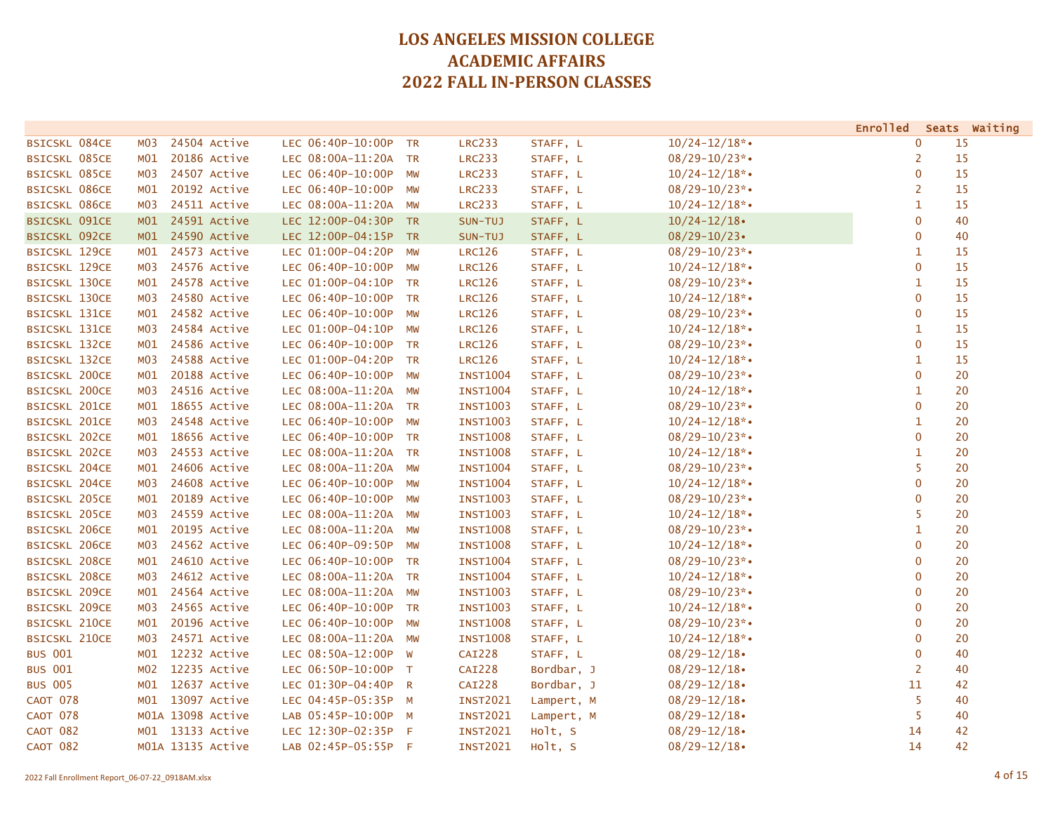|                      |                   |              |                      |           |                 |            |                    | <b>Enrolled</b> | Seats Waiting |
|----------------------|-------------------|--------------|----------------------|-----------|-----------------|------------|--------------------|-----------------|---------------|
| <b>BSICSKL 084CE</b> | M <sub>0</sub> 3  | 24504 Active | LEC 06:40P-10:00P TR |           | <b>LRC233</b>   | STAFF, L   | $10/24 - 12/18$ *• | $\mathbf 0$     | 15            |
| <b>BSICSKL 085CE</b> | MO1               | 20186 Active | LEC 08:00A-11:20A TR |           | <b>LRC233</b>   | STAFF, L   | $08/29 - 10/23$ *• | $\overline{2}$  | 15            |
| <b>BSICSKL 085CE</b> | MO3               | 24507 Active | LEC 06:40P-10:00P    | MW        | <b>LRC233</b>   | STAFF, L   | $10/24 - 12/18$ *• | $\mathbf 0$     | 15            |
| <b>BSICSKL 086CE</b> | MO1               | 20192 Active | LEC 06:40P-10:00P    | MW        | <b>LRC233</b>   | STAFF, L   | $08/29 - 10/23$ *• | 2               | 15            |
| <b>BSICSKL 086CE</b> | M03               | 24511 Active | LEC 08:00A-11:20A    | MW        | <b>LRC233</b>   | STAFF, L   | $10/24 - 12/18$ *• | 1               | 15            |
| <b>BSICSKL 091CE</b> | M <sub>01</sub>   | 24591 Active | LEC 12:00P-04:30P    | TR        | SUN-TUJ         | STAFF, L   | $10/24 - 12/18$    | $\bf{0}$        | 40            |
| <b>BSICSKL 092CE</b> | M01               | 24590 Active | LEC 12:00P-04:15P TR |           | SUN-TUJ         | STAFF, L   | $08/29 - 10/23$    | $\mathbf 0$     | 40            |
| <b>BSICSKL 129CE</b> | MO1               | 24573 Active | LEC 01:00P-04:20P    | <b>MW</b> | <b>LRC126</b>   | STAFF, L   | $08/29 - 10/23$ *• | 1               | 15            |
| <b>BSICSKL 129CE</b> | MO3               | 24576 Active | LEC 06:40P-10:00P    | <b>MW</b> | <b>LRC126</b>   | STAFF, L   | $10/24 - 12/18$ *• | $\mathbf{0}$    | 15            |
| <b>BSICSKL 130CE</b> | MO1               | 24578 Active | LEC 01:00P-04:10P TR |           | <b>LRC126</b>   | STAFF, L   | $08/29 - 10/23$ *• | $\mathbf{1}$    | 15            |
| <b>BSICSKL 130CE</b> | MO3               | 24580 Active | LEC 06:40P-10:00P    | TR        | <b>LRC126</b>   | STAFF, L   | $10/24 - 12/18$ *• | $\mathbf{0}$    | 15            |
| <b>BSICSKL 131CE</b> | MO1               | 24582 Active | LEC 06:40P-10:00P    | <b>MW</b> | <b>LRC126</b>   | STAFF, L   | $08/29 - 10/23$ *• | $\mathbf 0$     | 15            |
| <b>BSICSKL 131CE</b> | M03               | 24584 Active | LEC 01:00P-04:10P    | MW        | <b>LRC126</b>   | STAFF, L   | $10/24 - 12/18$ *• | 1               | 15            |
| <b>BSICSKL 132CE</b> | MO1               | 24586 Active | LEC 06:40P-10:00P TR |           | <b>LRC126</b>   | STAFF, L   | $08/29 - 10/23$ *• | $\overline{0}$  | 15            |
| <b>BSICSKL 132CE</b> | м03               | 24588 Active | LEC 01:00P-04:20P TR |           | <b>LRC126</b>   | STAFF, L   | $10/24 - 12/18$ *• | $\mathbf{1}$    | 15            |
| <b>BSICSKL 200CE</b> | MO1               | 20188 Active | LEC 06:40P-10:00P    | <b>MW</b> | <b>INST1004</b> | STAFF, L   | $08/29 - 10/23$ *• | $\mathbf{0}$    | 20            |
| <b>BSICSKL 200CE</b> | MO3               | 24516 Active | LEC 08:00A-11:20A    | MW        | <b>INST1004</b> | STAFF, L   | $10/24 - 12/18$ *• | $\mathbf{1}$    | 20            |
| <b>BSICSKL 201CE</b> | MO1               | 18655 Active | LEC 08:00A-11:20A TR |           | <b>INST1003</b> | STAFF, L   | $08/29 - 10/23$ *• | $\mathbf{0}$    | 20            |
| <b>BSICSKL 201CE</b> | M03               | 24548 Active | LEC 06:40P-10:00P    | <b>MW</b> | <b>INST1003</b> | STAFF, L   | $10/24 - 12/18$ *• | $\mathbf{1}$    | 20            |
| <b>BSICSKL 202CE</b> | MO1               | 18656 Active | LEC 06:40P-10:00P TR |           | <b>INST1008</b> | STAFF, L   | $08/29 - 10/23$ *• | $\mathbf{0}$    | 20            |
| <b>BSICSKL 202CE</b> | MO3               | 24553 Active | LEC 08:00A-11:20A TR |           | <b>INST1008</b> | STAFF, L   | $10/24 - 12/18$ *• | $\mathbf{1}$    | 20            |
| <b>BSICSKL 204CE</b> | MO1               | 24606 Active | LEC 08:00A-11:20A    | MW        | <b>INST1004</b> | STAFF, L   | $08/29 - 10/23$ *• | 5               | 20            |
| <b>BSICSKL 204CE</b> | MO3               | 24608 Active | LEC 06:40P-10:00P    | <b>MW</b> | <b>INST1004</b> | STAFF, L   | $10/24 - 12/18$ *• | $\mathbf 0$     | 20            |
| <b>BSICSKL 205CE</b> | MO1               | 20189 Active | LEC 06:40P-10:00P    | MW        | <b>INST1003</b> | STAFF, L   | $08/29 - 10/23$ *• | $\mathbf{0}$    | 20            |
| <b>BSICSKL 205CE</b> | MO3               | 24559 Active | LEC 08:00A-11:20A    | <b>MW</b> | <b>INST1003</b> | STAFF, L   | $10/24 - 12/18$ *• | 5               | 20            |
| <b>BSICSKL 206CE</b> | MO1               | 20195 Active | LEC 08:00A-11:20A    | <b>MW</b> | <b>INST1008</b> | STAFF, L   | $08/29 - 10/23$ *• | $\mathbf{1}$    | 20            |
| <b>BSICSKL 206CE</b> | M03               | 24562 Active | LEC 06:40P-09:50P    | <b>MW</b> | <b>INST1008</b> | STAFF, L   | $10/24 - 12/18$ *• | $\mathbf{0}$    | 20            |
| <b>BSICSKL 208CE</b> | MO1               | 24610 Active | LEC 06:40P-10:00P TR |           | <b>INST1004</b> | STAFF, L   | $08/29 - 10/23$ *• | $\overline{0}$  | 20            |
| <b>BSICSKL 208CE</b> | M03               | 24612 Active | LEC 08:00A-11:20A TR |           | <b>INST1004</b> | STAFF, L   | $10/24 - 12/18$ *• | $\mathbf 0$     | 20            |
| <b>BSICSKL 209CE</b> | MO1               | 24564 Active | LEC 08:00A-11:20A    | <b>MW</b> | <b>INST1003</b> | STAFF, L   | $08/29 - 10/23$ *• | $\mathbf{0}$    | 20            |
| <b>BSICSKL 209CE</b> | MO3               | 24565 Active | LEC 06:40P-10:00P TR |           | <b>INST1003</b> | STAFF, L   | $10/24 - 12/18$ *• | $\mathbf{0}$    | 20            |
| <b>BSICSKL 210CE</b> | MO1               | 20196 Active | LEC 06:40P-10:00P    | MW        | <b>INST1008</b> | STAFF, L   | $08/29 - 10/23$ *• | $\mathbf 0$     | 20            |
| <b>BSICSKL 210CE</b> | MO3               | 24571 Active | LEC 08:00A-11:20A    | MW        | <b>INST1008</b> | STAFF, L   | $10/24 - 12/18$ *• | $\mathbf 0$     | 20            |
| <b>BUS 001</b>       | MO1               | 12232 Active | LEC 08:50A-12:00P    | W         | <b>CAI228</b>   | STAFF, L   | $08/29 - 12/18$    | $\overline{0}$  | 40            |
| <b>BUS 001</b>       | M02               | 12235 Active | LEC 06:50P-10:00P T  |           | <b>CAI228</b>   | Bordbar, J | $08/29 - 12/18$    | $\overline{2}$  | 40            |
| <b>BUS 005</b>       | M <sub>01</sub>   | 12637 Active | LEC 01:30P-04:40P R  |           | <b>CAI228</b>   | Bordbar, J | $08/29 - 12/18$    | 11              | 42            |
| <b>CAOT 078</b>      | MO1               | 13097 Active | LEC 04:45P-05:35P M  |           | <b>INST2021</b> | Lampert, M | $08/29 - 12/18$    | 5               | 40            |
| <b>CAOT 078</b>      | M01A 13098 Active |              | LAB 05:45P-10:00P M  |           | <b>INST2021</b> | Lampert, M | $08/29 - 12/18$    | 5               | 40            |
| <b>CAOT 082</b>      | M01 13133 Active  |              | LEC 12:30P-02:35P    | - F       | <b>INST2021</b> | Holt, S    | $08/29 - 12/18$    | 14              | 42            |
| <b>CAOT 082</b>      | M01A 13135 Active |              | LAB 02:45P-05:55P F  |           | <b>INST2021</b> | Holt, S    | $08/29 - 12/18$    | 14              | 42            |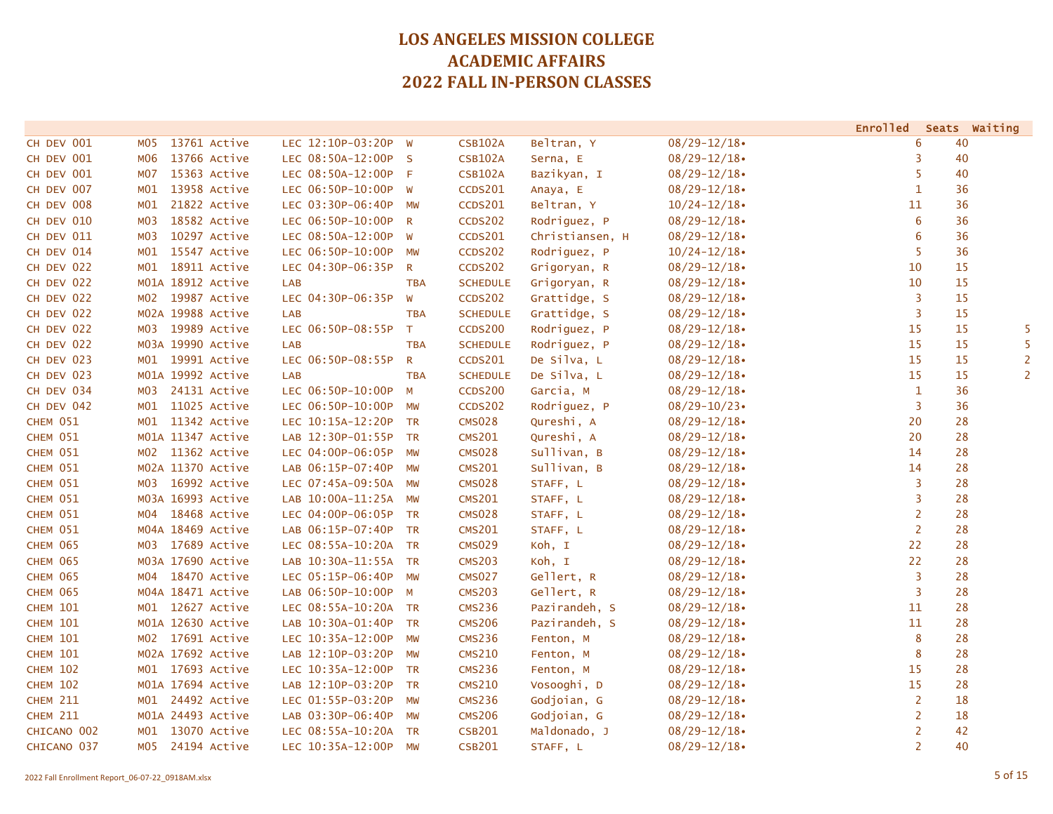|                 |                                  |                      |              |                 |                 |                 | <b>Enrolled</b> |    | Seats Waiting  |
|-----------------|----------------------------------|----------------------|--------------|-----------------|-----------------|-----------------|-----------------|----|----------------|
| CH DEV 001      | 13761 Active<br>M <sub>0</sub> 5 | LEC 12:10P-03:20P    | <b>W</b>     | <b>CSB102A</b>  | Beltran, Y      | $08/29 - 12/18$ | 6               | 40 |                |
| CH DEV 001      | 13766 Active<br>M06              | LEC 08:50A-12:00P S  |              | <b>CSB102A</b>  | Serna, E        | $08/29 - 12/18$ | 3               | 40 |                |
| CH DEV 001      | <b>MO7</b><br>15363 Active       | LEC 08:50A-12:00P F  |              | <b>CSB102A</b>  | Bazikyan, I     | $08/29 - 12/18$ | -5              | 40 |                |
| CH DEV 007      | 13958 Active<br>M01              | LEC 06:50P-10:00P W  |              | <b>CCDS201</b>  | Anaya, E        | $08/29 - 12/18$ | $\mathbf{1}$    | 36 |                |
| CH DEV 008      | 21822 Active<br>M01              | LEC 03:30P-06:40P    | MW           | <b>CCDS201</b>  | Beltran, Y      | $10/24 - 12/18$ | 11              | 36 |                |
| CH DEV 010      | 18582 Active<br><b>MO3</b>       | LEC 06:50P-10:00P    | $\mathsf{R}$ | <b>CCDS202</b>  | Rodriguez, P    | $08/29 - 12/18$ | 6               | 36 |                |
| CH DEV 011      | 10297 Active<br>M <sub>0</sub> 3 | LEC 08:50A-12:00P    | W            | <b>CCDS201</b>  | Christiansen, H | $08/29 - 12/18$ | 6               | 36 |                |
| CH DEV 014      | 15547 Active<br>MO1              | LEC 06:50P-10:00P    | MW           | <b>CCDS202</b>  | Rodriguez, P    | $10/24 - 12/18$ | 5               | 36 |                |
| CH DEV 022      | 18911 Active<br>MO1              | LEC 04:30P-06:35P    | $\mathsf{R}$ | CCDS202         | Grigoryan, R    | $08/29 - 12/18$ | 10              | 15 |                |
| CH DEV 022      | M01A 18912 Active                | <b>LAB</b>           | <b>TBA</b>   | <b>SCHEDULE</b> | Grigoryan, R    | $08/29 - 12/18$ | 10              | 15 |                |
| CH DEV 022      | 19987 Active<br>MO2              | LEC 04:30P-06:35P    | W            | <b>CCDS202</b>  | Grattidge, S    | $08/29 - 12/18$ | 3               | 15 |                |
| CH DEV 022      | M02A 19988 Active                | <b>LAB</b>           | <b>TBA</b>   | <b>SCHEDULE</b> | Grattidge, S    | $08/29 - 12/18$ | 3               | 15 |                |
| CH DEV 022      | 19989 Active<br>MO3              | LEC 06:50P-08:55P    | T            | <b>CCDS200</b>  | Rodriguez, P    | $08/29 - 12/18$ | 15              | 15 | 5              |
| CH DEV 022      | M03A 19990 Active                | <b>LAB</b>           | <b>TBA</b>   | <b>SCHEDULE</b> | Rodriguez, P    | $08/29 - 12/18$ | 15              | 15 | 5              |
| CH DEV 023      | M01 19991 Active                 | LEC 06:50P-08:55P    | $\mathsf{R}$ | <b>CCDS201</b>  | De Silva, L     | $08/29 - 12/18$ | 15              | 15 | $\overline{2}$ |
| CH DEV 023      | M01A 19992 Active                | <b>LAB</b>           | <b>TBA</b>   | <b>SCHEDULE</b> | De Silva, L     | $08/29 - 12/18$ | 15              | 15 | $\overline{2}$ |
| CH DEV 034      | 24131 Active<br>M03              | LEC 06:50P-10:00P    | M            | <b>CCDS200</b>  | Garcia, M       | $08/29 - 12/18$ | $\mathbf{1}$    | 36 |                |
| CH DEV 042      | 11025 Active<br>MO1              | LEC 06:50P-10:00P    | MW           | <b>CCDS202</b>  | Rodriguez, P    | $08/29 - 10/23$ | 3               | 36 |                |
| CHEM 051        | 11342 Active<br>MO1              | LEC 10:15A-12:20P    | <b>TR</b>    | <b>CMS028</b>   | Qureshi, A      | $08/29 - 12/18$ | 20              | 28 |                |
| CHEM 051        | M01A 11347 Active                | LAB 12:30P-01:55P TR |              | <b>CMS201</b>   | Qureshi, A      | $08/29 - 12/18$ | 20              | 28 |                |
| CHEM 051        | M02 11362 Active                 | LEC 04:00P-06:05P    | MW           | <b>CMS028</b>   | Sullivan, B     | $08/29 - 12/18$ | 14              | 28 |                |
| CHEM 051        | M02A 11370 Active                | LAB 06:15P-07:40P    | MW           | <b>CMS201</b>   | Sullivan, B     | $08/29 - 12/18$ | 14              | 28 |                |
| CHEM 051        | 16992 Active<br>M03              | LEC 07:45A-09:50A    | MW           | <b>CMS028</b>   | STAFF, L        | $08/29 - 12/18$ | 3               | 28 |                |
| CHEM 051        | M03A 16993 Active                | LAB 10:00A-11:25A    | MW           | <b>CMS201</b>   | STAFF, L        | $08/29 - 12/18$ | 3               | 28 |                |
| CHEM 051        | 18468 Active<br>MO4              | LEC 04:00P-06:05P TR |              | <b>CMS028</b>   | STAFF, L        | $08/29 - 12/18$ | 2               | 28 |                |
| CHEM 051        | M04A 18469 Active                | LAB 06:15P-07:40P TR |              | <b>CMS201</b>   | STAFF, L        | $08/29 - 12/18$ | 2               | 28 |                |
| <b>CHEM 065</b> | 17689 Active<br>M03              | LEC 08:55A-10:20A TR |              | <b>CMS029</b>   | Koh, I          | $08/29 - 12/18$ | 22              | 28 |                |
| <b>CHEM 065</b> | M03A 17690 Active                | LAB 10:30A-11:55A TR |              | <b>CMS203</b>   | Koh, I          | $08/29 - 12/18$ | 22              | 28 |                |
| <b>CHEM 065</b> | 18470 Active<br>MO4              | LEC 05:15P-06:40P    | <b>MW</b>    | <b>CMS027</b>   | Gellert, R      | $08/29 - 12/18$ | 3               | 28 |                |
| <b>CHEM 065</b> | M04A 18471 Active                | LAB 06:50P-10:00P M  |              | <b>CMS203</b>   | Gellert, R      | $08/29 - 12/18$ | $\overline{3}$  | 28 |                |
| <b>CHEM 101</b> | 12627 Active<br>MO1              | LEC 08:55A-10:20A TR |              | <b>CMS236</b>   | Pazirandeh, S   | $08/29 - 12/18$ | 11              | 28 |                |
| <b>CHEM 101</b> | M01A 12630 Active                | LAB 10:30A-01:40P    | <b>TR</b>    | <b>CMS206</b>   | Pazirandeh, S   | $08/29 - 12/18$ | 11              | 28 |                |
| <b>CHEM 101</b> | 17691 Active<br>MO2              | LEC 10:35A-12:00P    | <b>MW</b>    | <b>CMS236</b>   | Fenton, M       | $08/29 - 12/18$ | 8               | 28 |                |
| <b>CHEM 101</b> | M02A 17692 Active                | LAB 12:10P-03:20P    | <b>MW</b>    | <b>CMS210</b>   | Fenton, M       | $08/29 - 12/18$ | 8               | 28 |                |
| <b>CHEM 102</b> | 17693 Active<br>MO1              | LEC 10:35A-12:00P    | <b>TR</b>    | <b>CMS236</b>   | Fenton, M       | $08/29 - 12/18$ | 15              | 28 |                |
| <b>CHEM 102</b> | M01A 17694 Active                | LAB 12:10P-03:20P    | TR           | <b>CMS210</b>   | Vosooghi, D     | $08/29 - 12/18$ | 15              | 28 |                |
| <b>CHEM 211</b> | M01 24492 Active                 | LEC 01:55P-03:20P    | MW           | <b>CMS236</b>   | Godjoian, G     | $08/29 - 12/18$ | $\overline{2}$  | 18 |                |
| <b>CHEM 211</b> | M01A 24493 Active                | LAB 03:30P-06:40P    | MW           | <b>CMS206</b>   | Godjoian, G     | $08/29 - 12/18$ | 2               | 18 |                |
| CHICANO 002     | 13070 Active<br>MO1              | LEC 08:55A-10:20A    | <b>TR</b>    | <b>CSB201</b>   | Maldonado, J    | $08/29 - 12/18$ | $\overline{2}$  | 42 |                |
| CHICANO 037     | 24194 Active<br>MO5              | LEC 10:35A-12:00P    | MW           | <b>CSB201</b>   | STAFF, L        | $08/29 - 12/18$ | $\overline{2}$  | 40 |                |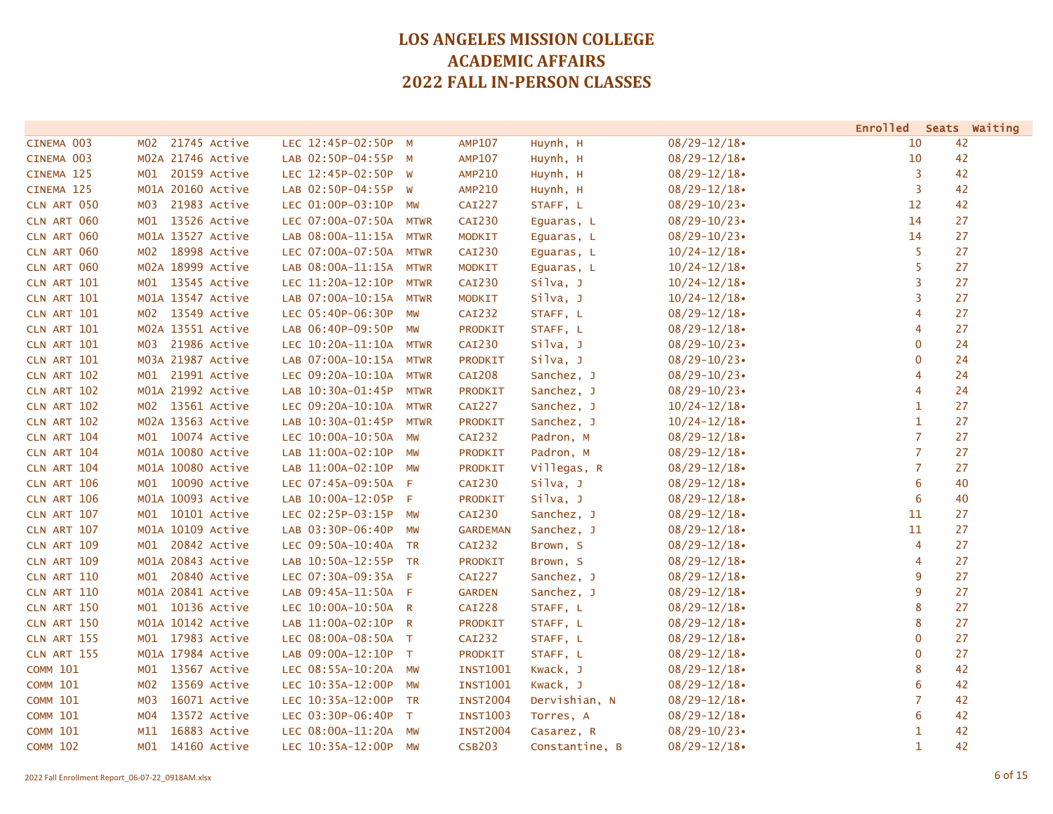|                    |                                 |                      |             |                 |                |                 | Enrolled Seats Waiting |    |  |
|--------------------|---------------------------------|----------------------|-------------|-----------------|----------------|-----------------|------------------------|----|--|
| CINEMA 003         | 21745 Active<br>M02             | LEC 12:45P-02:50P M  |             | <b>AMP107</b>   | Huynh, H       | $08/29 - 12/18$ | 10                     | 42 |  |
| CINEMA 003         | M02A 21746 Active               | LAB 02:50P-04:55P M  |             | <b>AMP107</b>   | Huynh, H       | $08/29 - 12/18$ | 10                     | 42 |  |
| CINEMA 125         | 20159 Active<br>MO1             | LEC 12:45P-02:50P W  |             | <b>AMP210</b>   | Huynh, H       | $08/29 - 12/18$ | 3                      | 42 |  |
| CINEMA 125         | M01A 20160 Active               | LAB 02:50P-04:55P W  |             | <b>AMP210</b>   | Huynh, H       | $08/29 - 12/18$ | 3                      | 42 |  |
| CLN ART 050        | 21983 Active<br>M03             | LEC 01:00P-03:10P    | <b>MW</b>   | <b>CAI227</b>   | STAFF, L       | $08/29 - 10/23$ | 12                     | 42 |  |
| CLN ART 060        | 13526 Active<br>MO1             | LEC 07:00A-07:50A    | <b>MTWR</b> | <b>CAI230</b>   | Equaras, L     | $08/29 - 10/23$ | 14                     | 27 |  |
| CLN ART 060        | M01A 13527 Active               | LAB 08:00A-11:15A    | <b>MTWR</b> | <b>MODKIT</b>   | Eguaras, L     | $08/29 - 10/23$ | 14                     | 27 |  |
| CLN ART 060        | M02 18998 Active                | LEC 07:00A-07:50A    | <b>MTWR</b> | CAI230          | Eguaras, L     | $10/24 - 12/18$ | 5                      | 27 |  |
| CLN ART 060        | M02A 18999 Active               | LAB 08:00A-11:15A    | <b>MTWR</b> | <b>MODKIT</b>   | Eguaras, L     | $10/24 - 12/18$ | 5                      | 27 |  |
| CLN ART 101        | M01 13545 Active                | LEC 11:20A-12:10P    | <b>MTWR</b> | CAI230          | Silva, J       | $10/24 - 12/18$ | 3                      | 27 |  |
| CLN ART 101        | M01A 13547 Active               | LAB 07:00A-10:15A    | <b>MTWR</b> | <b>MODKIT</b>   | Silva, J       | $10/24 - 12/18$ | 3                      | 27 |  |
| CLN ART 101        | 13549 Active<br>MO2             | LEC 05:40P-06:30P    | MW          | CAI232          | STAFF, L       | $08/29 - 12/18$ | 4                      | 27 |  |
| CLN ART 101        | M02A 13551 Active               | LAB 06:40P-09:50P    | MW          | PRODKIT         | STAFF, L       | $08/29 - 12/18$ | 4                      | 27 |  |
| CLN ART 101        | 21986 Active<br>м03             | LEC 10:20A-11:10A    | <b>MTWR</b> | <b>CAI230</b>   | Silva, J       | $08/29 - 10/23$ | $\mathbf 0$            | 24 |  |
| CLN ART 101        | M03A 21987 Active               | LAB 07:00A-10:15A    | <b>MTWR</b> | <b>PRODKIT</b>  | silva, J       | $08/29 - 10/23$ | $\mathbf 0$            | 24 |  |
| CLN ART 102        | 21991 Active<br>MO1             | LEC 09:20A-10:10A    | <b>MTWR</b> | <b>CAI208</b>   | Sanchez, J     | $08/29 - 10/23$ | 4                      | 24 |  |
| CLN ART 102        | M01A 21992 Active               | LAB 10:30A-01:45P    | <b>MTWR</b> | <b>PRODKIT</b>  | Sanchez, J     | $08/29 - 10/23$ | $\overline{4}$         | 24 |  |
| CLN ART 102        | 13561 Active<br>MO <sub>2</sub> | LEC 09:20A-10:10A    | <b>MTWR</b> | <b>CAI227</b>   | Sanchez, J     | $10/24 - 12/18$ | $\mathbf{1}$           | 27 |  |
| CLN ART 102        | M02A 13563 Active               | LAB 10:30A-01:45P    | <b>MTWR</b> | PRODKIT         | Sanchez, J     | $10/24 - 12/18$ | $\mathbf{1}$           | 27 |  |
| CLN ART 104        | M01 10074 Active                | LEC 10:00A-10:50A    | <b>MW</b>   | <b>CAI232</b>   | Padron, M      | $08/29 - 12/18$ | $\overline{7}$         | 27 |  |
| CLN ART 104        | M01A 10080 Active               | LAB 11:00A-02:10P    | <b>MW</b>   | <b>PRODKIT</b>  | Padron, M      | $08/29 - 12/18$ | $\overline{7}$         | 27 |  |
| CLN ART 104        | M01A 10080 Active               | LAB 11:00A-02:10P    | <b>MW</b>   | <b>PRODKIT</b>  | Villegas, R    | $08/29 - 12/18$ | $\overline{7}$         | 27 |  |
| CLN ART 106        | 10090 Active<br>MO1             | LEC 07:45A-09:50A    | $-F$        | <b>CAI230</b>   | Silva, J       | $08/29 - 12/18$ | 6                      | 40 |  |
| CLN ART 106        | M01A 10093 Active               | LAB 10:00A-12:05P F  |             | PRODKIT         | Silva, J       | $08/29 - 12/18$ | 6                      | 40 |  |
| CLN ART 107        | 10101 Active<br>MO1             | LEC 02:25P-03:15P MW |             | <b>CAI230</b>   | Sanchez, J     | $08/29 - 12/18$ | 11                     | 27 |  |
| CLN ART 107        | M01A 10109 Active               | LAB 03:30P-06:40P    | <b>MW</b>   | <b>GARDEMAN</b> | Sanchez, J     | $08/29 - 12/18$ | 11                     | 27 |  |
| <b>CLN ART 109</b> | M01 20842 Active                | LEC 09:50A-10:40A TR |             | <b>CAI232</b>   | Brown, S       | $08/29 - 12/18$ | 4                      | 27 |  |
| <b>CLN ART 109</b> | M01A 20843 Active               | LAB 10:50A-12:55P TR |             | PRODKIT         | Brown, S       | $08/29 - 12/18$ | $\overline{4}$         | 27 |  |
| CLN ART 110        | 20840 Active<br>MO1             | LEC 07:30A-09:35A F  |             | <b>CAI227</b>   | Sanchez, J     | $08/29 - 12/18$ | 9                      | 27 |  |
| CLN ART 110        | M01A 20841 Active               | LAB 09:45A-11:50A F  |             | <b>GARDEN</b>   | Sanchez, J     | $08/29 - 12/18$ | 9                      | 27 |  |
| CLN ART 150        | M01 10136 Active                | LEC 10:00A-10:50A R  |             | CAI228          | STAFF, L       | $08/29 - 12/18$ | 8                      | 27 |  |
| CLN ART 150        | M01A 10142 Active               | LAB 11:00A-02:10P R  |             | PRODKIT         | STAFF, L       | $08/29 - 12/18$ | 8                      | 27 |  |
| CLN ART 155        | M01 17983 Active                | LEC 08:00A-08:50A T  |             | CAI232          | STAFF, L       | $08/29 - 12/18$ | $\mathbf 0$            | 27 |  |
| CLN ART 155        | M01A 17984 Active               | LAB 09:00A-12:10P T  |             | <b>PRODKIT</b>  | STAFF, L       | $08/29 - 12/18$ | $\mathbf 0$            | 27 |  |
| <b>COMM 101</b>    | 13567 Active<br>MO1             | LEC 08:55A-10:20A    | <b>MW</b>   | <b>INST1001</b> | Kwack, J       | $08/29 - 12/18$ | 8                      | 42 |  |
| <b>COMM 101</b>    | 13569 Active<br>M02             | LEC 10:35A-12:00P    | MW          | <b>INST1001</b> | Kwack, J       | $08/29 - 12/18$ | 6                      | 42 |  |
| <b>COMM 101</b>    | 16071 Active<br>M03             | LEC 10:35A-12:00P    | <b>TR</b>   | <b>INST2004</b> | Dervishian, N  | $08/29 - 12/18$ | $\overline{7}$         | 42 |  |
| <b>COMM 101</b>    | 13572 Active<br>M04             | LEC 03:30P-06:40P    | $\top$      | <b>INST1003</b> | Torres, A      | $08/29 - 12/18$ | 6                      | 42 |  |
| <b>COMM 101</b>    | 16883 Active<br>M11             | LEC 08:00A-11:20A    | MW          | <b>INST2004</b> | Casarez, R     | $08/29 - 10/23$ | $\mathbf{1}$           | 42 |  |
| <b>COMM 102</b>    | 14160 Active<br>M01             | LEC 10:35A-12:00P    | MW          | <b>CSB203</b>   | Constantine, B | $08/29 - 12/18$ | $\mathbf{1}$           | 42 |  |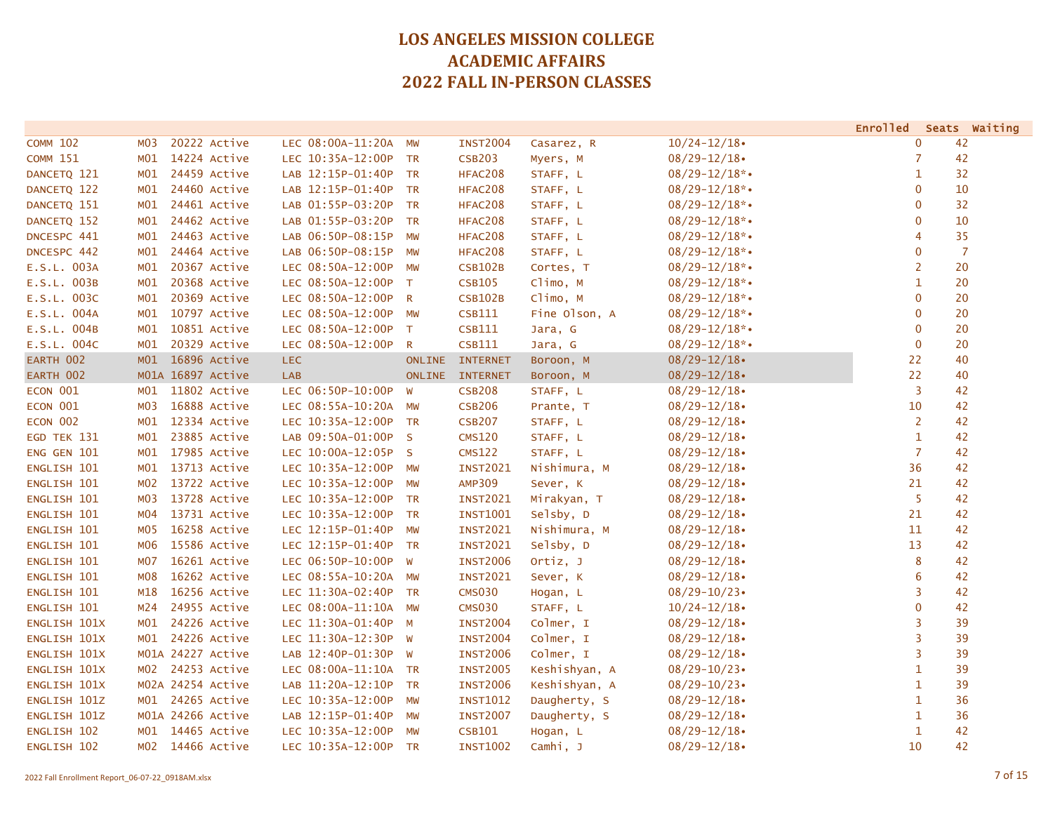|                     |                  |                   |                      |               |                 |               |                    | <b>Enrolled</b> | Seats Waiting  |
|---------------------|------------------|-------------------|----------------------|---------------|-----------------|---------------|--------------------|-----------------|----------------|
| <b>COMM 102</b>     | M <sub>0</sub> 3 | 20222 Active      | LEC 08:00A-11:20A    | MW            | <b>INST2004</b> | Casarez, R    | $10/24 - 12/18$    | $\mathbf{0}$    | 42             |
| <b>COMM 151</b>     | MO1              | 14224 Active      | LEC 10:35A-12:00P    | <b>TR</b>     | <b>CSB203</b>   | Myers, M      | $08/29 - 12/18$    | $\overline{7}$  | 42             |
| DANCETQ 121         | MO1              | 24459 Active      | LAB 12:15P-01:40P    | <b>TR</b>     | HFAC208         | STAFF, L      | $08/29 - 12/18$ *• | $\mathbf{1}$    | 32             |
| DANCETQ 122         | MO1              | 24460 Active      | LAB 12:15P-01:40P    | <b>TR</b>     | HFAC208         | STAFF, L      | $08/29 - 12/18$ *• | $\mathbf{0}$    | 10             |
| DANCETQ 151         | MO1              | 24461 Active      | LAB 01:55P-03:20P    | <b>TR</b>     | HFAC208         | STAFF, L      | $08/29 - 12/18$ *• | $\mathbf{0}$    | 32             |
| DANCETQ 152         | MO1              | 24462 Active      | LAB 01:55P-03:20P    | <b>TR</b>     | HFAC208         | STAFF, L      | $08/29 - 12/18$ *• | $\mathbf{0}$    | 10             |
| DNCESPC 441         | MO1              | 24463 Active      | LAB 06:50P-08:15P    | <b>MW</b>     | HFAC208         | STAFF, L      | $08/29 - 12/18$ *• | 4               | 35             |
| DNCESPC 442         | MO1              | 24464 Active      | LAB 06:50P-08:15P    | <b>MW</b>     | HFAC208         | STAFF, L      | $08/29 - 12/18$ *• | $\mathbf 0$     | $\overline{7}$ |
| E.S.L. 003A         | MO1              | 20367 Active      | LEC 08:50A-12:00P MW |               | <b>CSB102B</b>  | Cortes, T     | $08/29 - 12/18$ *• | $\overline{2}$  | 20             |
| E.S.L. 003B         | MO1              | 20368 Active      | LEC 08:50A-12:00P    | T             | <b>CSB105</b>   | Climo, M      | $08/29 - 12/18$ *• | $\mathbf{1}$    | 20             |
| E.S.L. 003C         | MO1              | 20369 Active      | LEC 08:50A-12:00P    | R             | <b>CSB102B</b>  | Climo, M      | $08/29 - 12/18$ *• | $\mathbf{0}$    | 20             |
| E.S.L. 004A         | MO1              | 10797 Active      | LEC 08:50A-12:00P    | <b>MW</b>     | CSB111          | Fine Olson, A | $08/29 - 12/18$ *• | $\mathbf{0}$    | 20             |
| E.S.L. 004B         | MO1              | 10851 Active      | LEC 08:50A-12:00P    | T             | CSB111          | Jara, G       | $08/29 - 12/18$ *• | $\mathbf{0}$    | 20             |
| E.S.L. 004C         | MO1              | 20329 Active      | LEC 08:50A-12:00P    | R             | <b>CSB111</b>   | Jara, G       | $08/29 - 12/18$ *• | $\mathbf{0}$    | 20             |
| EARTH 002           | M01              | 16896 Active      | LEC.                 | <b>ONLINE</b> | <b>INTERNET</b> | Boroon, M     | $08/29 - 12/18$    | 22              | 40             |
| EARTH 002           |                  | M01A 16897 Active | <b>LAB</b>           |               | ONLINE INTERNET | Boroon, M     | $08/29 - 12/18$    | 22              | 40             |
| ECON 001            | M <sub>01</sub>  | 11802 Active      | LEC 06:50P-10:00P    | <b>W</b>      | <b>CSB208</b>   | STAFF, L      | $08/29 - 12/18$    | 3               | 42             |
| ECON 001            | MO3              | 16888 Active      | LEC 08:55A-10:20A MW |               | <b>CSB206</b>   | Prante, T     | $08/29 - 12/18$    | 10              | 42             |
| ECON 002            | MO1              | 12334 Active      | LEC 10:35A-12:00P TR |               | <b>CSB207</b>   | STAFF, L      | $08/29 - 12/18$    | $\overline{2}$  | 42             |
| EGD TEK 131         | MO1              | 23885 Active      | LAB 09:50A-01:00P S  |               | <b>CMS120</b>   | STAFF, L      | $08/29 - 12/18$    | $\mathbf{1}$    | 42             |
| ENG GEN 101         | M <sub>01</sub>  | 17985 Active      | LEC 10:00A-12:05P S  |               | <b>CMS122</b>   | STAFF, L      | $08/29 - 12/18$    | $\overline{7}$  | 42             |
| ENGLISH 101         | MO1              | 13713 Active      | LEC 10:35A-12:00P    | <b>MW</b>     | <b>INST2021</b> | Nishimura, M  | $08/29 - 12/18$    | 36              | 42             |
| ENGLISH 101         | M02              | 13722 Active      | LEC 10:35A-12:00P    | <b>MW</b>     | <b>AMP309</b>   | Sever, K      | $08/29 - 12/18$    | 21              | 42             |
| ENGLISH 101         | M03              | 13728 Active      | LEC 10:35A-12:00P    | <b>TR</b>     | <b>INST2021</b> | Mirakyan, T   | $08/29 - 12/18$    | 5               | 42             |
| ENGLISH 101         | MO4              | 13731 Active      | LEC 10:35A-12:00P    | <b>TR</b>     | <b>INST1001</b> | Selsby, D     | $08/29 - 12/18$    | 21              | 42             |
| ENGLISH 101         | MO5              | 16258 Active      | LEC 12:15P-01:40P    | <b>MW</b>     | <b>INST2021</b> | Nishimura, M  | $08/29 - 12/18$    | 11              | 42             |
| ENGLISH 101         | м06              | 15586 Active      | LEC 12:15P-01:40P    | <b>TR</b>     | <b>INST2021</b> | Selsby, D     | $08/29 - 12/18$    | 13              | 42             |
| ENGLISH 101         | M07              | 16261 Active      | LEC 06:50P-10:00P    | <b>W</b>      | <b>INST2006</b> | Ortiz, J      | $08/29 - 12/18$    | 8               | 42             |
| ENGLISH 101         | M08              | 16262 Active      | LEC 08:55A-10:20A MW |               | <b>INST2021</b> | Sever, K      | $08/29 - 12/18$    | 6               | 42             |
| ENGLISH 101         | M18              | 16256 Active      | LEC 11:30A-02:40P    | <b>TR</b>     | <b>CMS030</b>   | Hogan, L      | $08/29 - 10/23$    | 3               | 42             |
| ENGLISH 101         | M24              | 24955 Active      | LEC 08:00A-11:10A MW |               | <b>CMS030</b>   | STAFF, L      | $10/24 - 12/18$    | $\mathbf{0}$    | 42             |
| ENGLISH 101X        | MO1              | 24226 Active      | LEC 11:30A-01:40P    | $M_{\odot}$   | <b>INST2004</b> | Colmer, I     | $08/29 - 12/18$    | 3               | 39             |
| ENGLISH 101X        | MO1              | 24226 Active      | LEC 11:30A-12:30P    | <b>W</b>      | <b>INST2004</b> | Colmer, I     | $08/29 - 12/18$    | 3               | 39             |
| <b>ENGLISH 101X</b> |                  | M01A 24227 Active | LAB 12:40P-01:30P    | W             | <b>INST2006</b> | Colmer, I     | $08/29 - 12/18$    | 3               | 39             |
| <b>ENGLISH 101X</b> | MO2              | 24253 Active      | LEC 08:00A-11:10A TR |               | <b>INST2005</b> | Keshishyan, A | $08/29 - 10/23$    | $\mathbf{1}$    | 39             |
| ENGLISH 101X        |                  | M02A 24254 Active | LAB 11:20A-12:10P    | <b>TR</b>     | <b>INST2006</b> | Keshishyan, A | $08/29 - 10/23$    | $\mathbf{1}$    | 39             |
| ENGLISH 101Z        | MO1              | 24265 Active      | LEC 10:35A-12:00P    | <b>MW</b>     | <b>INST1012</b> | Daugherty, S  | $08/29 - 12/18$    | $\mathbf{1}$    | 36             |
| ENGLISH 101Z        |                  | M01A 24266 Active | LAB 12:15P-01:40P    | MW            | <b>INST2007</b> | Daugherty, S  | $08/29 - 12/18$    | $\mathbf{1}$    | 36             |
| ENGLISH 102         | MO1              | 14465 Active      | LEC 10:35A-12:00P    | MW            | <b>CSB101</b>   | Hogan, L      | $08/29 - 12/18$    | $\mathbf{1}$    | 42             |
| ENGLISH 102         |                  | M02 14466 Active  | LEC 10:35A-12:00P TR |               | <b>INST1002</b> | Camhi, J      | $08/29 - 12/18$    | 10              | 42             |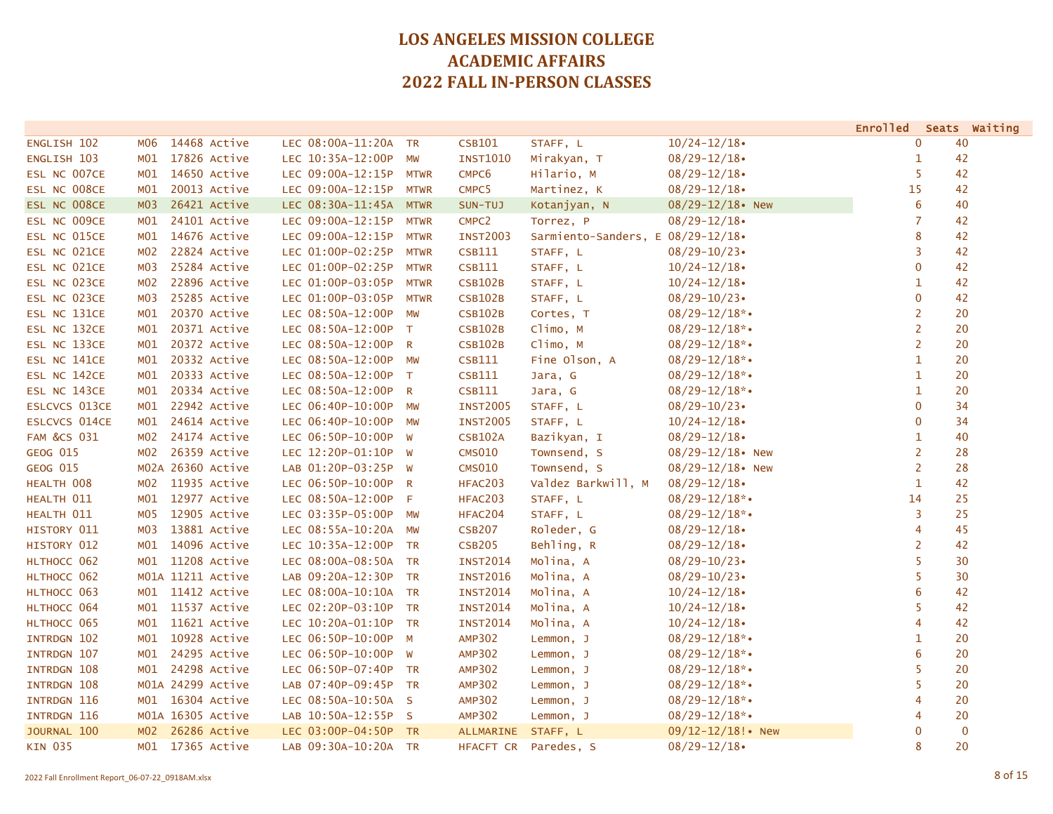|                        |                                 |                        |              |                   |                                     |                        | <b>Enrolled</b> | Seats Waiting |
|------------------------|---------------------------------|------------------------|--------------|-------------------|-------------------------------------|------------------------|-----------------|---------------|
| ENGLISH 102            | 14468 Active<br>M06             | LEC 08:00A-11:20A TR   |              | <b>CSB101</b>     | STAFF, L                            | $10/24 - 12/18$        | $\mathbf{0}$    | 40            |
| ENGLISH 103            | 17826 Active<br>MO1             | LEC 10:35A-12:00P      | <b>MW</b>    | <b>INST1010</b>   | Mirakyan, T                         | $08/29 - 12/18$        | 1               | 42            |
| ESL NC 007CE           | 14650 Active<br>MO1             | LEC 09:00A-12:15P MTWR |              | CMPC6             | Hilario, M                          | $08/29 - 12/18$        | 5               | 42            |
| ESL NC 008CE           | 20013 Active<br>MO1             | LEC 09:00A-12:15P MTWR |              | CMPC <sub>5</sub> | Martinez, K                         | $08/29 - 12/18$        | 15              | 42            |
| ESL NC 008CE           | 26421 Active<br>M <sub>03</sub> | LEC 08:30A-11:45A MTWR |              | SUN-TUJ           | Kotanjyan, N                        | $08/29 - 12/18$ New    | 6               | 40            |
| ESL NC 009CE           | 24101 Active<br>MO1             | LEC 09:00A-12:15P      | <b>MTWR</b>  | CMPC <sub>2</sub> | Torrez, P                           | $08/29 - 12/18$        | $\overline{7}$  | 42            |
| ESL NC 015CE           | 14676 Active<br>MO1             | LEC 09:00A-12:15P      | <b>MTWR</b>  | <b>INST2003</b>   | Sarmiento-Sanders, $E$ 08/29-12/18. |                        | 8               | 42            |
| ESL NC 021CE           | 22824 Active<br>M02             | LEC 01:00P-02:25P      | <b>MTWR</b>  | CSB111            | STAFF, L                            | $08/29 - 10/23$        | 3               | 42            |
| ESL NC 021CE           | 25284 Active<br>M03             | LEC 01:00P-02:25P      | <b>MTWR</b>  | CSB111            | STAFF, L                            | $10/24 - 12/18$        | $\mathbf 0$     | 42            |
| ESL NC 023CE           | 22896 Active<br>MO2             | LEC 01:00P-03:05P      | <b>MTWR</b>  | <b>CSB102B</b>    | STAFF, L                            | $10/24 - 12/18$        | 1               | 42            |
| ESL NC 023CE           | 25285 Active<br>M03             | LEC 01:00P-03:05P      | <b>MTWR</b>  | <b>CSB102B</b>    | STAFF, L                            | $08/29 - 10/23$        | $\mathbf{0}$    | 42            |
| ESL NC 131CE           | 20370 Active<br>MO1             | LEC 08:50A-12:00P      | <b>MW</b>    | <b>CSB102B</b>    | Cortes, T                           | $08/29 - 12/18$ *•     | 2               | 20            |
| ESL NC 132CE           | 20371 Active<br>M <sub>01</sub> | LEC 08:50A-12:00P      | $\top$       | <b>CSB102B</b>    | Climo, M                            | $08/29 - 12/18$ *•     | $\overline{2}$  | 20            |
| ESL NC 133CE           | 20372 Active<br>MO1             | LEC 08:50A-12:00P R    |              | <b>CSB102B</b>    | Climo, M                            | $08/29 - 12/18$ *•     | $\overline{2}$  | 20            |
| ESL NC 141CE           | 20332 Active<br>MO1             | LEC 08:50A-12:00P MW   |              | <b>CSB111</b>     | Fine Olson, A                       | $08/29 - 12/18$ *•     | $\mathbf{1}$    | 20            |
| ESL NC 142CE           | 20333 Active<br>MO1             | LEC 08:50A-12:00P T    |              | <b>CSB111</b>     | Jara, G                             | $08/29 - 12/18$ *•     | $\mathbf{1}$    | 20            |
| ESL NC 143CE           | 20334 Active<br>MO1             | LEC 08:50A-12:00P      | $\mathsf{R}$ | <b>CSB111</b>     | Jara, G                             | $08/29 - 12/18$ *•     | $\mathbf{1}$    | 20            |
| <b>ESLCVCS 013CE</b>   | 22942 Active<br>MO1             | LEC 06:40P-10:00P      | <b>MW</b>    | <b>INST2005</b>   | STAFF, L                            | $08/29 - 10/23$        | $\mathbf{0}$    | 34            |
| <b>ESLCVCS 014CE</b>   | 24614 Active<br>MO1             | LEC 06:40P-10:00P MW   |              | <b>INST2005</b>   | STAFF, L                            | $10/24 - 12/18$        | $\mathbf{0}$    | 34            |
| <b>FAM &amp;CS 031</b> | 24174 Active<br>MO2             | LEC 06:50P-10:00P W    |              | <b>CSB102A</b>    | Bazikyan, I                         | $08/29 - 12/18$        | 1               | 40            |
| <b>GEOG 015</b>        | 26359 Active<br>M02             | LEC 12:20P-01:10P W    |              | <b>CMS010</b>     | Townsend, S                         | $08/29 - 12/18$ New    | $\overline{2}$  | 28            |
| GEOG 015               | M02A 26360 Active               | LAB 01:20P-03:25P W    |              | <b>CMS010</b>     | Townsend, S                         | $08/29 - 12/18$ New    | $\overline{2}$  | 28            |
| HEALTH 008             | 11935 Active<br>M02             | LEC 06:50P-10:00P      | <b>R</b>     | HFAC203           | Valdez Barkwill, M                  | $08/29 - 12/18$        | $\mathbf{1}$    | 42            |
| HEALTH 011             | 12977 Active<br>MO1             | LEC 08:50A-12:00P      | -F           | HFAC203           | STAFF, L                            | $08/29 - 12/18$ *•     | 14              | 25            |
| HEALTH 011             | 12905 Active<br>MO5             | LEC 03:35P-05:00P MW   |              | HFAC204           | STAFF, L                            | $08/29 - 12/18$ *•     | 3               | 25            |
| HISTORY 011            | 13881 Active<br>M03             | LEC 08:55A-10:20A MW   |              | <b>CSB207</b>     | Roleder, G                          | $08/29 - 12/18$        | 4               | 45            |
| HISTORY 012            | 14096 Active<br>M01             | LEC 10:35A-12:00P TR   |              | <b>CSB205</b>     | Behling, R                          | $08/29 - 12/18$        | $\overline{2}$  | 42            |
| HLTHOCC 062            | 11208 Active<br>MO1             | LEC 08:00A-08:50A TR   |              | <b>INST2014</b>   | Molina, A                           | $08/29 - 10/23$        | 5               | 30            |
| HLTHOCC 062            | M01A 11211 Active               | LAB 09:20A-12:30P TR   |              | <b>INST2016</b>   | Molina, A                           | $08/29 - 10/23$        | 5               | 30            |
| HLTHOCC 063            | 11412 Active<br>MO1             | LEC 08:00A-10:10A TR   |              | <b>INST2014</b>   | Molina, A                           | $10/24 - 12/18$        | 6               | 42            |
| HLTHOCC 064            | 11537 Active<br>MO1             | LEC 02:20P-03:10P TR   |              | <b>INST2014</b>   | Molina, A                           | $10/24 - 12/18$        | 5               | 42            |
| HLTHOCC 065            | 11621 Active<br>MO1             | LEC 10:20A-01:10P TR   |              | <b>INST2014</b>   | Molina, A                           | $10/24 - 12/18$        | 4               | 42            |
| INTRDGN 102            | 10928 Active<br>MO1             | LEC 06:50P-10:00P      | $M_{\odot}$  | <b>AMP302</b>     | Lemmon, J                           | $08/29 - 12/18$ *•     | 1               | 20            |
| INTRDGN 107            | 24295 Active<br>MO1             | LEC 06:50P-10:00P      | <b>W</b>     | <b>AMP302</b>     | Lemmon, J                           | $08/29 - 12/18$ *•     | 6               | 20            |
| INTRDGN 108            | 24298 Active<br>M <sub>01</sub> | LEC 06:50P-07:40P TR   |              | <b>AMP302</b>     | Lemmon, J                           | $08/29 - 12/18$ *•     | 5               | 20            |
| INTRDGN 108            | M01A 24299 Active               | LAB 07:40P-09:45P TR   |              | <b>AMP302</b>     | Lemmon, J                           | $08/29 - 12/18$ *•     | 5               | 20            |
| INTRDGN 116            | 16304 Active<br>MO1             | LEC 08:50A-10:50A S    |              | <b>AMP302</b>     | Lemmon, J                           | $08/29 - 12/18$ *•     | $\overline{4}$  | 20            |
| <b>INTRDGN 116</b>     | M01A 16305 Active               | LAB 10:50A-12:55P S    |              | <b>AMP302</b>     | Lemmon, J                           | $08/29 - 12/18$ *•     | $\overline{4}$  | 20            |
| JOURNAL 100            | 26286 Active<br>M <sub>02</sub> | LEC 03:00P-04:50P TR   |              | <b>ALLMARINE</b>  | STAFF, L                            | $09/12 - 12/18!$ • New | $\mathbf 0$     | $\mathbf 0$   |
| <b>KIN 035</b>         | 17365 Active<br>MO1             | LAB 09:30A-10:20A TR   |              | HFACFT CR         | Paredes, S                          | $08/29 - 12/18$        | 8               | 20            |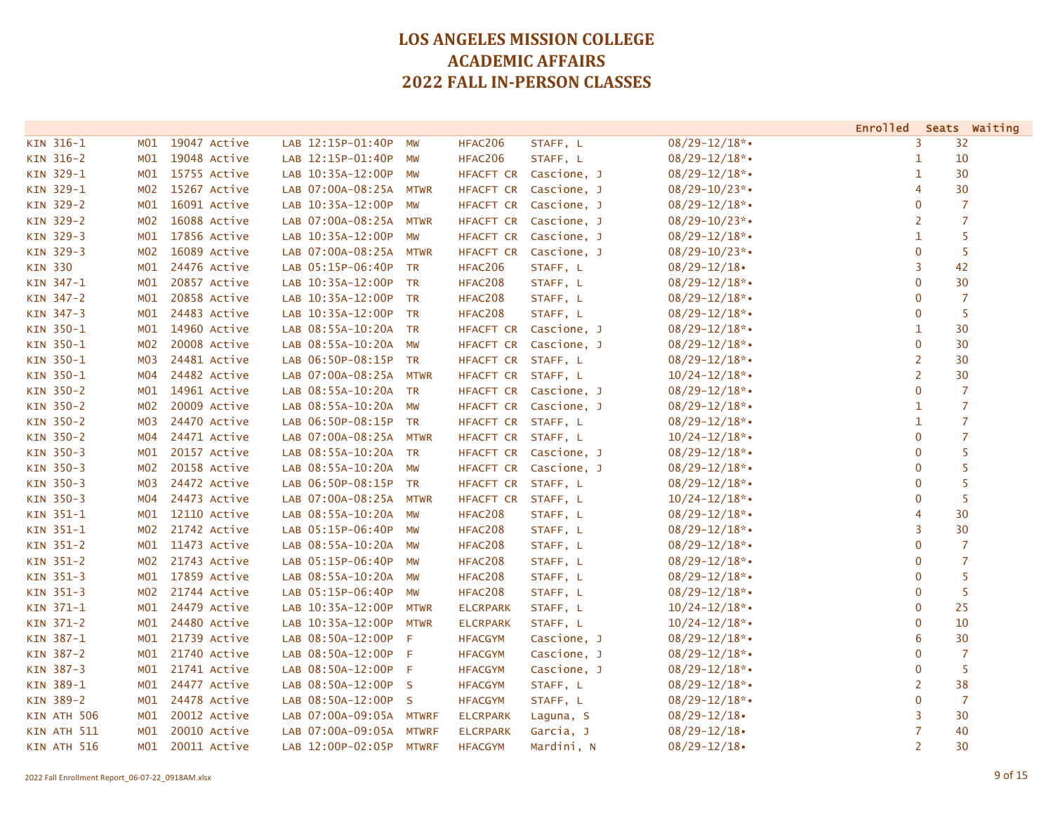|                  |                 |              |                         |              |                    |                       |                    | <b>Enrolled</b> | Seats Waiting  |
|------------------|-----------------|--------------|-------------------------|--------------|--------------------|-----------------------|--------------------|-----------------|----------------|
| KIN 316-1        | M01             | 19047 Active | LAB 12:15P-01:40P       | MW           | HFAC206            | STAFF, L              | $08/29 - 12/18$ *• | 3               | 32             |
| KIN 316-2        | MO1             | 19048 Active | LAB 12:15P-01:40P       | MW           | HFAC206            | STAFF, L              | $08/29 - 12/18$ *• | 1               | 10             |
| KIN 329-1        | MO1             | 15755 Active | LAB 10:35A-12:00P MW    |              |                    | HFACFT CR Cascione, J | $08/29 - 12/18$ *• | $\mathbf{1}$    | 30             |
| KIN 329-1        | MO2             | 15267 Active | LAB 07:00A-08:25A MTWR  |              | HFACFT CR          | Cascione, J           | $08/29 - 10/23$ *• | $\overline{4}$  | 30             |
| KIN 329-2        | MO1             | 16091 Active | LAB 10:35A-12:00P       | MW           | HFACFT CR          | Cascione, J           | $08/29 - 12/18$ *• | $\mathbf 0$     | $\overline{7}$ |
| KIN 329-2        | M02             | 16088 Active | LAB 07:00A-08:25A       | <b>MTWR</b>  | HFACFT CR          | Cascione, J           | $08/29 - 10/23$ *• | $\overline{2}$  | $\overline{7}$ |
| KIN 329-3        | M01             | 17856 Active | LAB 10:35A-12:00P       | <b>MW</b>    | HFACFT CR          | Cascione, J           | $08/29 - 12/18$ *• | $\mathbf{1}$    | 5              |
| KIN 329-3        | M02             | 16089 Active | LAB 07:00A-08:25A MTWR  |              | HFACFT CR          | Cascione, J           | $08/29 - 10/23$ *• | $\mathbf{0}$    | 5              |
| <b>KIN 330</b>   | MO1             | 24476 Active | LAB 05:15P-06:40P       | <b>TR</b>    | HFAC206            | STAFF, L              | $08/29 - 12/18$    | $\overline{3}$  | 42             |
| KIN 347-1        | M01             | 20857 Active | LAB 10:35A-12:00P       | <b>TR</b>    | HFAC208            | STAFF, L              | $08/29 - 12/18$ *• | $\mathbf 0$     | 30             |
| KIN 347-2        | MO1             | 20858 Active | LAB 10:35A-12:00P       | <b>TR</b>    | HFAC208            | STAFF, L              | $08/29 - 12/18$ *• | $\mathbf 0$     | $\overline{7}$ |
| KIN 347-3        | MO1             | 24483 Active | LAB 10:35A-12:00P       | <b>TR</b>    | HFAC208            | STAFF, L              | $08/29 - 12/18$ *• | $\mathbf 0$     | 5              |
| KIN 350-1        | MO1             | 14960 Active | LAB 08:55A-10:20A       | <b>TR</b>    |                    | HFACFT CR Cascione, J | $08/29 - 12/18$ *• | 1               | 30             |
| KIN 350-1        | MO2             | 20008 Active | LAB 08:55A-10:20A MW    |              |                    | HFACFT CR Cascione, J | $08/29 - 12/18$ *• | $\overline{0}$  | 30             |
| KIN 350-1        | M03             | 24481 Active | LAB 06:50P-08:15P TR    |              | HFACFT CR STAFF, L |                       | $08/29 - 12/18$ *• | $\overline{2}$  | 30             |
| KIN 350-1        | M04             | 24482 Active | LAB 07:00A-08:25A MTWR  |              | HFACFT CR STAFF, L |                       | $10/24 - 12/18$ *• | $\overline{2}$  | 30             |
| KIN 350-2        | MO1             | 14961 Active | LAB 08:55A-10:20A       | <b>TR</b>    | HFACFT CR          | Cascione, J           | $08/29 - 12/18$ *• | $\mathbf{0}$    | $\overline{7}$ |
| <b>KIN 350-2</b> | MO2             | 20009 Active | LAB 08:55A-10:20A MW    |              |                    | HFACFT CR Cascione, J | $08/29 - 12/18$ *• | $\mathbf{1}$    | $\overline{7}$ |
| KIN 350-2        | M03             | 24470 Active | LAB 06:50P-08:15P TR    |              | HFACFT CR STAFF, L |                       | $08/29 - 12/18$ *• | $\mathbf{1}$    | $\overline{7}$ |
| KIN 350-2        | M04             | 24471 Active | LAB 07:00A-08:25A MTWR  |              | HFACFT CR STAFF, L |                       | $10/24 - 12/18$ *• | $\mathbf 0$     | $\overline{7}$ |
| KIN 350-3        | MO1             | 20157 Active | LAB 08:55A-10:20A TR    |              | HFACFT CR          | Cascione, J           | $08/29 - 12/18$ *• | $\mathbf 0$     | 5              |
| KIN 350-3        | MO2             | 20158 Active | LAB 08:55A-10:20A       | <b>MW</b>    | HFACFT CR          | Cascione, J           | $08/29 - 12/18$ *• | $\mathbf 0$     | 5              |
| KIN 350-3        | M03             | 24472 Active | LAB 06:50P-08:15P       | <b>TR</b>    | HFACFT CR STAFF, L |                       | $08/29 - 12/18$ *• | $\mathbf 0$     | 5              |
| KIN 350-3        | M04             | 24473 Active | LAB 07:00A-08:25A       | <b>MTWR</b>  | HFACFT CR STAFF, L |                       | $10/24 - 12/18$ *• | $\mathbf{0}$    | 5              |
| KIN 351-1        | M01             | 12110 Active | LAB 08:55A-10:20A MW    |              | HFAC208            | STAFF, L              | $08/29 - 12/18$ *• | 4               | 30             |
| KIN 351-1        | M02             | 21742 Active | LAB 05:15P-06:40P       | <b>MW</b>    | HFAC208            | STAFF, L              | $08/29 - 12/18$ *• | $\overline{3}$  | 30             |
| KIN 351-2        | MO1             | 11473 Active | LAB 08:55A-10:20A MW    |              | HFAC208            | STAFF, L              | $08/29 - 12/18$ *• | $\mathbf 0$     | $\overline{7}$ |
| KIN 351-2        | M02             | 21743 Active | LAB 05:15P-06:40P       | <b>MW</b>    | HFAC208            | STAFF, L              | $08/29 - 12/18$ *• | $\mathbf{0}$    | $\overline{7}$ |
| KIN 351-3        | MO1             | 17859 Active | LAB 08:55A-10:20A MW    |              | HFAC208            | STAFF, L              | $08/29 - 12/18$ *• | $\mathbf 0$     | 5              |
| KIN 351-3        | MO2             | 21744 Active | LAB 05:15P-06:40P       | MW           | HFAC208            | STAFF, L              | $08/29 - 12/18$ *• | $\mathbf 0$     | 5              |
| KIN 371-1        | MO1             | 24479 Active | LAB 10:35A-12:00P       | <b>MTWR</b>  | <b>ELCRPARK</b>    | STAFF, L              | $10/24 - 12/18$ *• | $\mathbf{0}$    | 25             |
| KIN 371-2        | MO1             | 24480 Active | LAB 10:35A-12:00P       | <b>MTWR</b>  | <b>ELCRPARK</b>    | STAFF, L              | $10/24 - 12/18$ *• | $\mathbf 0$     | 10             |
| KIN 387-1        | MO1             | 21739 Active | LAB 08:50A-12:00P       | F            | <b>HFACGYM</b>     | Cascione, J           | $08/29 - 12/18$ *• | 6               | 30             |
| KIN 387-2        | M <sub>01</sub> | 21740 Active | LAB 08:50A-12:00P       | F            | <b>HFACGYM</b>     | Cascione, J           | $08/29 - 12/18$ *• | $\mathbf{0}$    | $\overline{7}$ |
| KIN 387-3        | M01             | 21741 Active | LAB 08:50A-12:00P       | - F          | <b>HFACGYM</b>     | Cascione, J           | $08/29 - 12/18$ *• | $\mathbf 0$     | -5             |
| KIN 389-1        | MO1             | 24477 Active | LAB 08:50A-12:00P S     |              | <b>HFACGYM</b>     | STAFF, L              | $08/29 - 12/18$ *• | $\overline{2}$  | 38             |
| KIN 389-2        | MO1             | 24478 Active | LAB 08:50A-12:00P S     |              | <b>HFACGYM</b>     | STAFF, L              | $08/29 - 12/18$ *• | $\mathbf 0$     | $\overline{7}$ |
| KIN ATH 506      | MO1             | 20012 Active | LAB 07:00A-09:05A       | <b>MTWRF</b> | <b>ELCRPARK</b>    | Laguna, S             | $08/29 - 12/18$    | 3               | 30             |
| KIN ATH 511      | MO1             | 20010 Active | LAB 07:00A-09:05A       | <b>MTWRF</b> | <b>ELCRPARK</b>    | Garcia, J             | $08/29 - 12/18$    | $\overline{7}$  | 40             |
| KIN ATH 516      | MO1             | 20011 Active | LAB 12:00P-02:05P MTWRF |              | <b>HFACGYM</b>     | Mardini, N            | $08/29 - 12/18$    | 2               | 30             |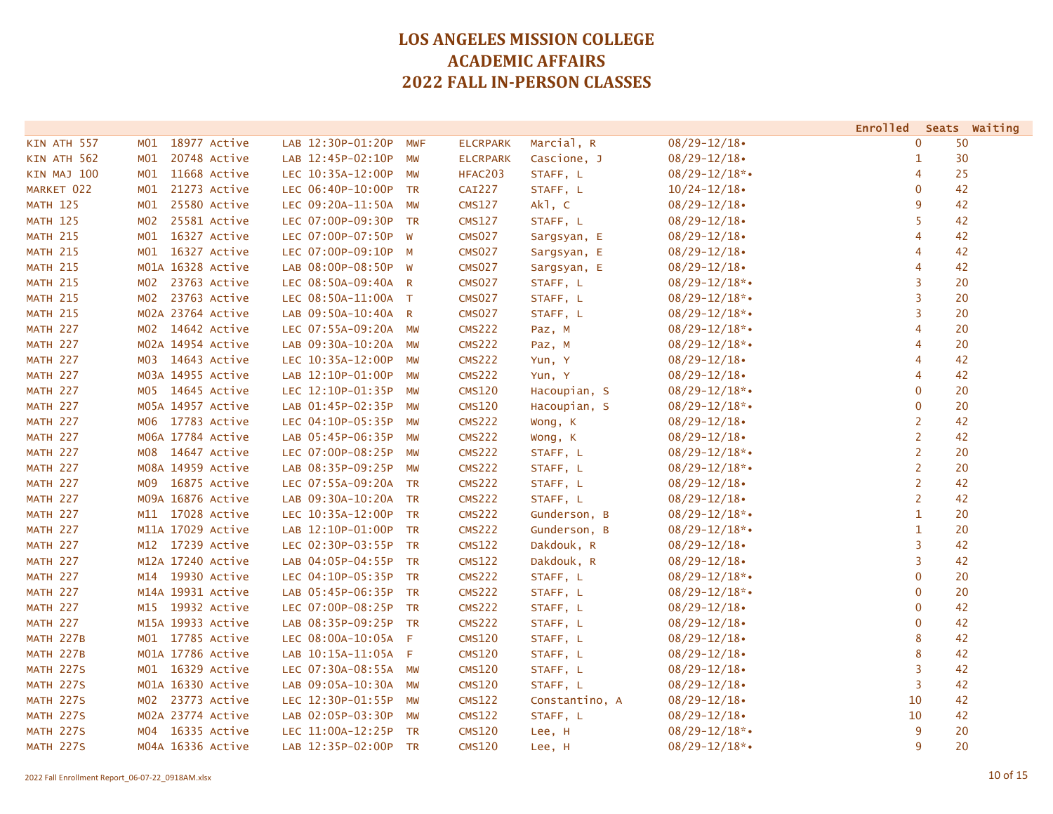|                  |                     |                      |           |                 |                |                    |                | Enrolled Seats Waiting |
|------------------|---------------------|----------------------|-----------|-----------------|----------------|--------------------|----------------|------------------------|
| KIN ATH 557      | 18977 Active<br>MO1 | LAB 12:30P-01:20P    | MWF       | <b>ELCRPARK</b> | Marcial, R     | $08/29 - 12/18$    | $\mathbf{0}$   | 50                     |
| KIN ATH 562      | 20748 Active<br>M01 | LAB 12:45P-02:10P    | MW        | <b>ELCRPARK</b> | Cascione, J    | $08/29 - 12/18$    | $\mathbf{1}$   | 30                     |
| KIN MAJ 100      | 11668 Active<br>MO1 | LEC 10:35A-12:00P    | MW        | HFAC203         | STAFF, L       | $08/29 - 12/18$ *• | 4              | 25                     |
| MARKET 022       | 21273 Active<br>M01 | LEC 06:40P-10:00P    | <b>TR</b> | <b>CAI227</b>   | STAFF, L       | $10/24 - 12/18$    | 0              | 42                     |
| <b>MATH 125</b>  | 25580 Active<br>M01 | LEC 09:20A-11:50A    | <b>MW</b> | <b>CMS127</b>   | Ak1, C         | $08/29 - 12/18$    | 9              | 42                     |
| <b>MATH 125</b>  | 25581 Active<br>M02 | LEC 07:00P-09:30P    | <b>TR</b> | <b>CMS127</b>   | STAFF, L       | $08/29 - 12/18$    | 5              | 42                     |
| <b>MATH 215</b>  | 16327 Active<br>M01 | LEC 07:00P-07:50P    | W         | <b>CMS027</b>   | Sargsyan, E    | $08/29 - 12/18$    | 4              | 42                     |
| <b>MATH 215</b>  | 16327 Active<br>MO1 | LEC 07:00P-09:10P M  |           | <b>CMS027</b>   | Sargsyan, E    | $08/29 - 12/18$    | 4              | 42                     |
| <b>MATH 215</b>  | M01A 16328 Active   | LAB 08:00P-08:50P W  |           | <b>CMS027</b>   | Sargsyan, E    | $08/29 - 12/18$    | 4              | 42                     |
| <b>MATH 215</b>  | 23763 Active<br>M02 | LEC 08:50A-09:40A R  |           | <b>CMS027</b>   | STAFF, L       | $08/29 - 12/18$ *• | 3              | 20                     |
| <b>MATH 215</b>  | 23763 Active<br>MO2 | LEC 08:50A-11:00A T  |           | <b>CMS027</b>   | STAFF, L       | $08/29 - 12/18$ *• | 3              | 20                     |
| <b>MATH 215</b>  | M02A 23764 Active   | LAB 09:50A-10:40A R  |           | <b>CMS027</b>   | STAFF, L       | $08/29 - 12/18$ *• | 3              | 20                     |
| <b>MATH 227</b>  | 14642 Active<br>MO2 | LEC 07:55A-09:20A MW |           | <b>CMS222</b>   | Paz, M         | $08/29 - 12/18$ *• | $\overline{4}$ | 20                     |
| <b>MATH 227</b>  | M02A 14954 Active   | LAB 09:30A-10:20A MW |           | <b>CMS222</b>   | Paz, M         | $08/29 - 12/18$ *• | 4              | 20                     |
| <b>MATH 227</b>  | 14643 Active<br>м03 | LEC 10:35A-12:00P    | <b>MW</b> | <b>CMS222</b>   | Yun, Y         | $08/29 - 12/18$    | 4              | 42                     |
| <b>MATH 227</b>  | M03A 14955 Active   | LAB 12:10P-01:00P    | <b>MW</b> | <b>CMS222</b>   | Yun, Y         | $08/29 - 12/18$    | 4              | 42                     |
| <b>MATH 227</b>  | 14645 Active<br>MO5 | LEC 12:10P-01:35P    | MW        | <b>CMS120</b>   | Hacoupian, S   | $08/29 - 12/18$ *• | $\mathbf 0$    | 20                     |
| <b>MATH 227</b>  | M05A 14957 Active   | LAB 01:45P-02:35P    | MW        | <b>CMS120</b>   | Hacoupian, S   | $08/29 - 12/18$ *• | $\mathbf{0}$   | 20                     |
| <b>MATH 227</b>  | M06 17783 Active    | LEC 04:10P-05:35P    | MW        | <b>CMS222</b>   | Wong, K        | $08/29 - 12/18$    | $\overline{2}$ | 42                     |
| <b>MATH 227</b>  | M06A 17784 Active   | LAB 05:45P-06:35P    | MW        | <b>CMS222</b>   | Wong, K        | $08/29 - 12/18$    | 2              | 42                     |
| <b>MATH 227</b>  | M08 14647 Active    | LEC 07:00P-08:25P    | MW        | <b>CMS222</b>   | STAFF, L       | $08/29 - 12/18$ *• | $\overline{2}$ | 20                     |
| <b>MATH 227</b>  | M08A 14959 Active   | LAB 08:35P-09:25P    | MW        | <b>CMS222</b>   | STAFF, L       | $08/29 - 12/18$ *• | $\overline{2}$ | 20                     |
| <b>MATH 227</b>  | 16875 Active<br>м09 | LEC 07:55A-09:20A    | <b>TR</b> | <b>CMS222</b>   | STAFF, L       | $08/29 - 12/18$    | $\overline{2}$ | 42                     |
| <b>MATH 227</b>  | M09A 16876 Active   | LAB 09:30A-10:20A    | <b>TR</b> | <b>CMS222</b>   | STAFF, L       | $08/29 - 12/18$    | $\overline{2}$ | 42                     |
| <b>MATH 227</b>  | 17028 Active<br>M11 | LEC 10:35A-12:00P TR |           | <b>CMS222</b>   | Gunderson, B   | $08/29 - 12/18$ *• | $\mathbf{1}$   | 20                     |
| <b>MATH 227</b>  | M11A 17029 Active   | LAB 12:10P-01:00P    | <b>TR</b> | <b>CMS222</b>   | Gunderson, B   | $08/29 - 12/18$ *• | $\mathbf{1}$   | 20                     |
| <b>MATH 227</b>  | 17239 Active<br>M12 | LEC 02:30P-03:55P    | <b>TR</b> | <b>CMS122</b>   | Dakdouk, R     | $08/29 - 12/18$    | 3              | 42                     |
| <b>MATH 227</b>  | M12A 17240 Active   | LAB 04:05P-04:55P    | <b>TR</b> | <b>CMS122</b>   | Dakdouk, R     | $08/29 - 12/18$    | 3              | 42                     |
| <b>MATH 227</b>  | 19930 Active<br>M14 | LEC 04:10P-05:35P    | <b>TR</b> | <b>CMS222</b>   | STAFF, L       | $08/29 - 12/18$ *• | $\mathbf{0}$   | 20                     |
| <b>MATH 227</b>  | M14A 19931 Active   | LAB 05:45P-06:35P TR |           | <b>CMS222</b>   | STAFF, L       | $08/29 - 12/18$ *• | $\mathbf{0}$   | 20                     |
| <b>MATH 227</b>  | M15 19932 Active    | LEC 07:00P-08:25P TR |           | <b>CMS222</b>   | STAFF, L       | $08/29 - 12/18$    | $\mathbf{0}$   | 42                     |
| <b>MATH 227</b>  | M15A 19933 Active   | LAB 08:35P-09:25P TR |           | <b>CMS222</b>   | STAFF, L       | $08/29 - 12/18$    | $\mathbf{0}$   | 42                     |
| <b>MATH 227B</b> | M01 17785 Active    | LEC 08:00A-10:05A    | - F       | <b>CMS120</b>   | STAFF, L       | $08/29 - 12/18$    | 8              | 42                     |
| <b>MATH 227B</b> | M01A 17786 Active   | LAB 10:15A-11:05A F  |           | <b>CMS120</b>   | STAFF, L       | $08/29 - 12/18$    | 8              | 42                     |
| <b>MATH 227S</b> | 16329 Active<br>MO1 | LEC 07:30A-08:55A MW |           | <b>CMS120</b>   | STAFF, L       | $08/29 - 12/18$    | 3              | 42                     |
| <b>MATH 227S</b> | M01A 16330 Active   | LAB 09:05A-10:30A    | MW        | <b>CMS120</b>   | STAFF, L       | $08/29 - 12/18$    | $\overline{3}$ | 42                     |
| <b>MATH 227S</b> | 23773 Active<br>MO2 | LEC 12:30P-01:55P    | MW        | <b>CMS122</b>   | Constantino, A | $08/29 - 12/18$    | 10             | 42                     |
| <b>MATH 227S</b> | MO2A 23774 Active   | LAB 02:05P-03:30P    | <b>MW</b> | <b>CMS122</b>   | STAFF, L       | $08/29 - 12/18$    | 10             | 42                     |
| <b>MATH 227S</b> | 16335 Active<br>M04 | LEC 11:00A-12:25P    | <b>TR</b> | <b>CMS120</b>   | Lee, H         | $08/29 - 12/18$ *• | 9              | 20                     |
| <b>MATH 227S</b> | M04A 16336 Active   | LAB 12:35P-02:00P    | <b>TR</b> | <b>CMS120</b>   | Lee, H         | $08/29 - 12/18$ *• | 9              | 20                     |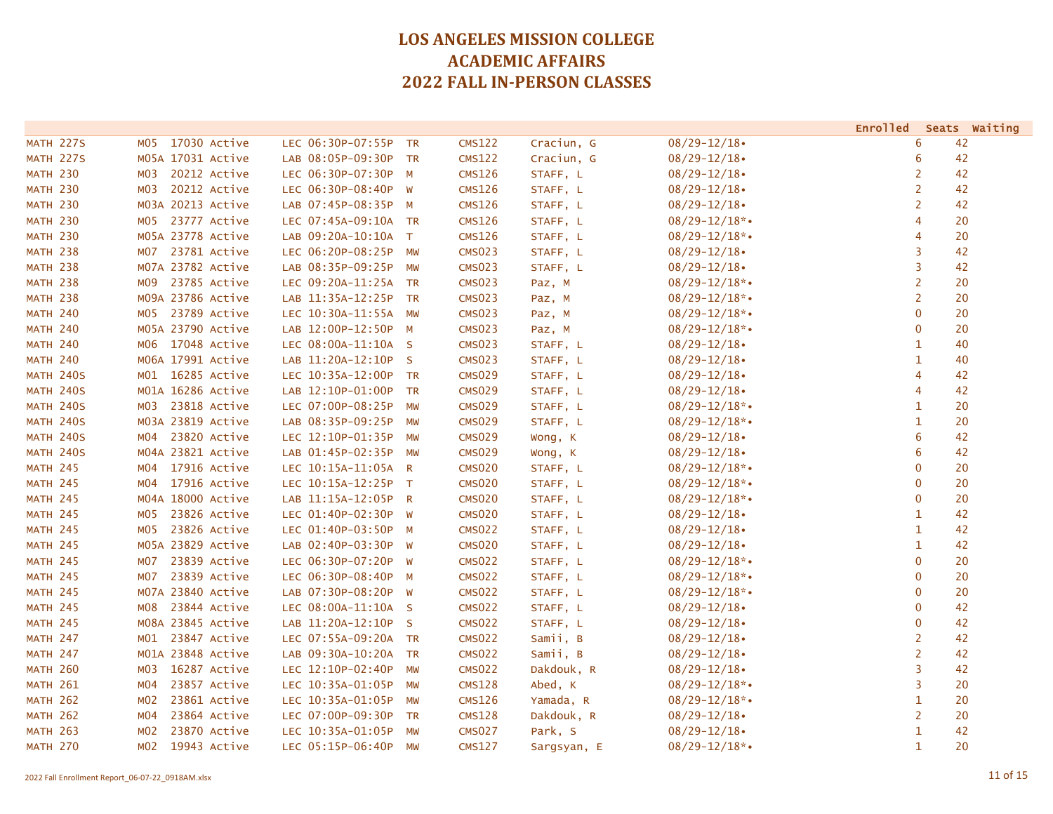|                  |                                  |                               |                            |             |                    | <b>Enrolled</b> | Seats Waiting |
|------------------|----------------------------------|-------------------------------|----------------------------|-------------|--------------------|-----------------|---------------|
| <b>MATH 227S</b> | 17030 Active<br>MO5              | LEC 06:30P-07:55P             | <b>CMS122</b><br><b>TR</b> | Craciun, G  | $08/29 - 12/18$    | 6               | 42            |
| <b>MATH 227S</b> | M05A 17031 Active                | LAB 08:05P-09:30P             | <b>CMS122</b><br><b>TR</b> | Craciun, G  | $08/29 - 12/18$    | 6               | 42            |
| <b>MATH 230</b>  | 20212 Active<br>M03              | LEC 06:30P-07:30P M           | <b>CMS126</b>              | STAFF, L    | $08/29 - 12/18$    | $\overline{2}$  | 42            |
| <b>MATH 230</b>  | 20212 Active<br>M03              | LEC 06:30P-08:40P W           | <b>CMS126</b>              | STAFF, L    | $08/29 - 12/18$    | 2               | 42            |
| <b>MATH 230</b>  | M03A 20213 Active                | LAB 07:45P-08:35P M           | <b>CMS126</b>              | STAFF, L    | $08/29 - 12/18$    | $\overline{2}$  | 42            |
| <b>MATH 230</b>  | 23777 Active<br><b>MO5</b>       | LEC 07:45A-09:10A TR          | <b>CMS126</b>              | STAFF, L    | $08/29 - 12/18$ *• | 4               | 20            |
| <b>MATH 230</b>  | M05A 23778 Active                | LAB 09:20A-10:10A T           | <b>CMS126</b>              | STAFF, L    | $08/29 - 12/18$ *• | 4               | 20            |
| <b>MATH 238</b>  | 23781 Active<br>M07              | LEC 06:20P-08:25P             | <b>CMS023</b><br>MW        | STAFF, L    | $08/29 - 12/18$    | 3               | 42            |
| <b>MATH 238</b>  | M07A 23782 Active                | LAB 08:35P-09:25P MW          | <b>CMS023</b>              | STAFF, L    | $08/29 - 12/18$    | 3               | 42            |
| <b>MATH 238</b>  | 23785 Active<br>MO9              | LEC 09:20A-11:25A TR          | <b>CMS023</b>              | Paz, M      | $08/29 - 12/18$ *• | $\overline{2}$  | 20            |
| <b>MATH 238</b>  | M09A 23786 Active                | LAB 11:35A-12:25P             | <b>CMS023</b><br><b>TR</b> | Paz, M      | $08/29 - 12/18$ *• | $\overline{2}$  | 20            |
| <b>MATH 240</b>  | 23789 Active<br>MO5              | LEC 10:30A-11:55A             | <b>CMS023</b><br>MW        | Paz, M      | $08/29 - 12/18$ *• | 0               | 20            |
| <b>MATH 240</b>  | M05A 23790 Active                | LAB 12:00P-12:50P M           | <b>CMS023</b>              | Paz, M      | $08/29 - 12/18$ *• | 0               | 20            |
| <b>MATH 240</b>  | M06 17048 Active                 | LEC 08:00A-11:10A S           | <b>CMS023</b>              | STAFF, L    | $08/29 - 12/18$    | 1               | 40            |
| <b>MATH 240</b>  | M06A 17991 Active                | LAB 11:20A-12:10P S           | <b>CMS023</b>              | STAFF, L    | $08/29 - 12/18$    | 1               | 40            |
| <b>MATH 240S</b> | 16285 Active<br>MO1              | LEC 10:35A-12:00P             | <b>CMS029</b><br><b>TR</b> | STAFF, L    | $08/29 - 12/18$    | 4               | 42            |
| <b>MATH 240S</b> | M01A 16286 Active                | LAB 12:10P-01:00P             | <b>CMS029</b><br><b>TR</b> | STAFF, L    | $08/29 - 12/18$    | 4               | 42            |
| <b>MATH 240S</b> | 23818 Active<br>M <sub>0</sub> 3 | LEC 07:00P-08:25P             | <b>CMS029</b><br>MW        | STAFF, L    | $08/29 - 12/18$ *• | $\mathbf{1}$    | 20            |
| <b>MATH 240S</b> | M03A 23819 Active                | LAB 08:35P-09:25P             | <b>CMS029</b><br>MW        | STAFF, L    | $08/29 - 12/18$ *• | 1               | 20            |
| <b>MATH 240S</b> | 23820 Active<br>MO4              | LEC 12:10P-01:35P             | <b>CMS029</b><br>MW        | Wong, K     | $08/29 - 12/18$    | 6               | 42            |
| <b>MATH 240S</b> | M04A 23821 Active                | LAB 01:45P-02:35P             | <b>CMS029</b><br>MW        | Wong, K     | $08/29 - 12/18$    | 6               | 42            |
| <b>MATH 245</b>  | 17916 Active<br>MO4              | LEC 10:15A-11:05A<br>R        | <b>CMS020</b>              | STAFF, L    | $08/29 - 12/18$ *• | $\mathbf 0$     | 20            |
| <b>MATH 245</b>  | MO4<br>17916 Active              | LEC 10:15A-12:25P T           | <b>CMS020</b>              | STAFF, L    | $08/29 - 12/18$ *• | $\mathbf 0$     | 20            |
| <b>MATH 245</b>  | M04A 18000 Active                | LAB 11:15A-12:05P R           | <b>CMS020</b>              | STAFF, L    | $08/29 - 12/18$ *• | $\mathbf 0$     | 20            |
| <b>MATH 245</b>  | 23826 Active<br>MO5              | LEC 01:40P-02:30P W           | <b>CMS020</b>              | STAFF, L    | $08/29 - 12/18$    | $\mathbf{1}$    | 42            |
| <b>MATH 245</b>  | 23826 Active<br>MO5              | LEC 01:40P-03:50P M           | <b>CMS022</b>              | STAFF, L    | $08/29 - 12/18$    | $\mathbf{1}$    | 42            |
| <b>MATH 245</b>  | M05A 23829 Active                | LAB 02:40P-03:30P<br>W        | <b>CMS020</b>              | STAFF, L    | $08/29 - 12/18$    | $\mathbf{1}$    | 42            |
| <b>MATH 245</b>  | 23839 Active<br><b>MO7</b>       | LEC 06:30P-07:20P<br><b>W</b> | <b>CMS022</b>              | STAFF, L    | $08/29 - 12/18$ *• | $\mathbf 0$     | 20            |
| <b>MATH 245</b>  | 23839 Active<br><b>MO7</b>       | LEC 06:30P-08:40P M           | <b>CMS022</b>              | STAFF, L    | $08/29 - 12/18$ *• | $\mathbf 0$     | 20            |
| <b>MATH 245</b>  | M07A 23840 Active                | LAB 07:30P-08:20P W           | <b>CMS022</b>              | STAFF, L    | $08/29 - 12/18$ *• | $\mathbf 0$     | 20            |
| <b>MATH 245</b>  | 23844 Active<br>M08              | LEC 08:00A-11:10A S           | <b>CMS022</b>              | STAFF, L    | $08/29 - 12/18$    | $\mathbf 0$     | 42            |
| <b>MATH 245</b>  | M08A 23845 Active                | LAB 11:20A-12:10P<br>- S      | <b>CMS022</b>              | STAFF, L    | $08/29 - 12/18$    | $\mathbf 0$     | 42            |
| <b>MATH 247</b>  | 23847 Active<br>MO1              | LEC 07:55A-09:20A TR          | <b>CMS022</b>              | Samii, B    | $08/29 - 12/18$    | $\overline{2}$  | 42            |
| <b>MATH 247</b>  | M01A 23848 Active                | LAB 09:30A-10:20A             | <b>CMS022</b><br><b>TR</b> | Samii, B    | $08/29 - 12/18$    | $\overline{2}$  | 42            |
| <b>MATH 260</b>  | 16287 Active<br>M03              | LEC 12:10P-02:40P             | <b>CMS022</b><br>MW        | Dakdouk, R  | $08/29 - 12/18$    | 3               | 42            |
| <b>MATH 261</b>  | 23857 Active<br>M <sub>04</sub>  | LEC 10:35A-01:05P             | <b>CMS128</b><br>MW        | Abed, K     | $08/29 - 12/18$ *• | 3               | 20            |
| <b>MATH 262</b>  | 23861 Active<br>M <sub>0</sub> 2 | LEC 10:35A-01:05P             | <b>CMS126</b><br>MW        | Yamada, R   | $08/29 - 12/18$ *• | 1               | 20            |
| <b>MATH 262</b>  | 23864 Active<br>M <sub>04</sub>  | LEC 07:00P-09:30P             | <b>CMS128</b><br>TR        | Dakdouk, R  | $08/29 - 12/18$    | $\overline{2}$  | 20            |
| <b>MATH 263</b>  | 23870 Active<br>M <sub>0</sub> 2 | LEC 10:35A-01:05P             | <b>CMS027</b><br>MW        | Park, S     | $08/29 - 12/18$    | $\mathbf{1}$    | 42            |
| <b>MATH 270</b>  | 19943 Active<br>M02              | LEC 05:15P-06:40P             | <b>CMS127</b><br>MW        | Sargsyan, E | $08/29 - 12/18$ *  | $\mathbf{1}$    | 20            |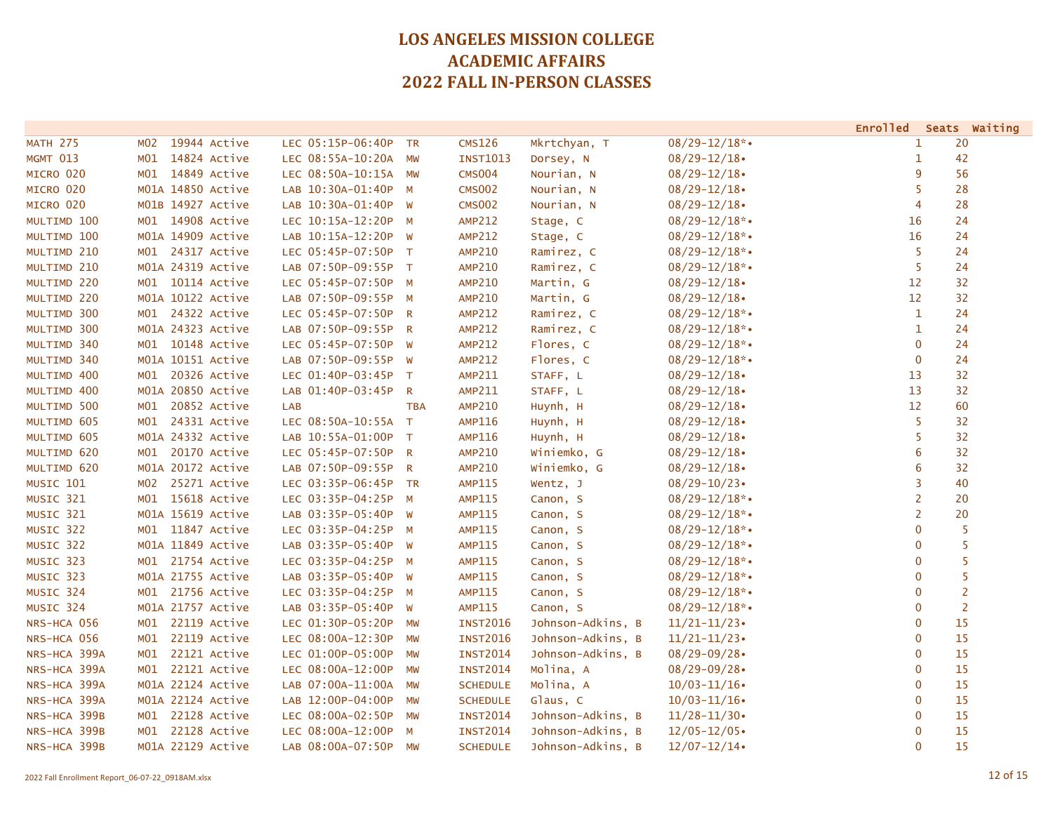|                 |                     |                      |                |                 |                   |                    |                | Enrolled Seats Waiting |
|-----------------|---------------------|----------------------|----------------|-----------------|-------------------|--------------------|----------------|------------------------|
| <b>MATH 275</b> | 19944 Active<br>MO2 | LEC 05:15P-06:40P TR |                | <b>CMS126</b>   | Mkrtchyan, T      | $08/29 - 12/18$ *• | 1              | 20                     |
| MGMT 013        | M01<br>14824 Active | LEC 08:55A-10:20A    | <b>MW</b>      | <b>INST1013</b> | Dorsey, N         | $08/29 - 12/18$    | 1              | 42                     |
| MICRO 020       | 14849 Active<br>MO1 | LEC 08:50A-10:15A MW |                | <b>CMS004</b>   | Nourian, N        | $08/29 - 12/18$    | 9              | 56                     |
| MICRO 020       | M01A 14850 Active   | LAB 10:30A-01:40P M  |                | <b>CMS002</b>   | Nourian, N        | $08/29 - 12/18$    | 5              | 28                     |
| MICRO 020       | M01B 14927 Active   | LAB 10:30A-01:40P    | W              | <b>CMS002</b>   | Nourian, N        | $08/29 - 12/18$    | 4              | 28                     |
| MULTIMD 100     | M01 14908 Active    | LEC 10:15A-12:20P    | M              | <b>AMP212</b>   | Stage, C          | $08/29 - 12/18$ *• | 16             | 24                     |
| MULTIMD 100     | M01A 14909 Active   | LAB 10:15A-12:20P W  |                | <b>AMP212</b>   | Stage, C          | $08/29 - 12/18$ *• | 16             | 24                     |
| MULTIMD 210     | M01 24317 Active    | LEC 05:45P-07:50P T  |                | <b>AMP210</b>   | Ramirez, C        | $08/29 - 12/18$ *• | 5              | 24                     |
| MULTIMD 210     | M01A 24319 Active   | LAB 07:50P-09:55P T  |                | <b>AMP210</b>   | Ramirez, C        | $08/29 - 12/18$ *• | 5              | 24                     |
| MULTIMD 220     | M01 10114 Active    | LEC 05:45P-07:50P M  |                | <b>AMP210</b>   | Martin, G         | $08/29 - 12/18$    | 12             | 32                     |
| MULTIMD 220     | M01A 10122 Active   | LAB 07:50P-09:55P M  |                | <b>AMP210</b>   | Martin, G         | $08/29 - 12/18$    | 12             | 32                     |
| MULTIMD 300     | M01 24322 Active    | LEC 05:45P-07:50P R  |                | <b>AMP212</b>   | Ramirez, C        | $08/29 - 12/18$ *• | $\mathbf{1}$   | 24                     |
| MULTIMD 300     | M01A 24323 Active   | LAB 07:50P-09:55P R  |                | <b>AMP212</b>   | Ramirez, C        | $08/29 - 12/18$ *• | 1              | 24                     |
| MULTIMD 340     | 10148 Active<br>MO1 | LEC 05:45P-07:50P W  |                | <b>AMP212</b>   | Flores, C         | $08/29 - 12/18$ *• | $\mathbf 0$    | 24                     |
| MULTIMD 340     | M01A 10151 Active   | LAB 07:50P-09:55P W  |                | <b>AMP212</b>   | Flores, C         | $08/29 - 12/18$ *• | $\mathbf 0$    | 24                     |
| MULTIMD 400     | 20326 Active<br>MO1 | LEC 01:40P-03:45P T  |                | <b>AMP211</b>   | STAFF, L          | $08/29 - 12/18$    | 13             | 32                     |
| MULTIMD 400     | M01A 20850 Active   | LAB 01:40P-03:45P    | $\mathsf{R}$   | AMP211          | STAFF, L          | $08/29 - 12/18$    | 13             | 32                     |
| MULTIMD 500     | 20852 Active<br>MO1 | <b>LAB</b>           | <b>TBA</b>     | <b>AMP210</b>   | Huynh, H          | $08/29 - 12/18$    | 12             | 60                     |
| MULTIMD 605     | M01 24331 Active    | LEC 08:50A-10:55A T  |                | <b>AMP116</b>   | Huynh, H          | $08/29 - 12/18$    | 5              | 32                     |
| MULTIMD 605     | M01A 24332 Active   | LAB 10:55A-01:00P T  |                | <b>AMP116</b>   | Huynh, H          | $08/29 - 12/18$    | 5              | 32                     |
| MULTIMD 620     | M01 20170 Active    | LEC 05:45P-07:50P R  |                | <b>AMP210</b>   | Winiemko, G       | $08/29 - 12/18$    | 6              | 32                     |
| MULTIMD 620     | M01A 20172 Active   | LAB 07:50P-09:55P    | $\overline{R}$ | <b>AMP210</b>   | Winiemko, G       | $08/29 - 12/18$    | 6              | 32                     |
| MUSIC 101       | 25271 Active<br>MO2 | LEC 03:35P-06:45P TR |                | <b>AMP115</b>   | Wentz, J          | $08/29 - 10/23$    | 3              | 40                     |
| MUSIC 321       | M01<br>15618 Active | LEC 03:35P-04:25P M  |                | <b>AMP115</b>   | Canon, S          | $08/29 - 12/18$ *• | $\overline{2}$ | 20                     |
| MUSIC 321       | M01A 15619 Active   | LAB 03:35P-05:40P W  |                | <b>AMP115</b>   | Canon, S          | $08/29 - 12/18$ *• | $\overline{2}$ | 20                     |
| MUSIC 322       | M01 11847 Active    | LEC 03:35P-04:25P M  |                | <b>AMP115</b>   | Canon, S          | $08/29 - 12/18$ *• | $\mathbf{0}$   | 5                      |
| MUSIC 322       | M01A 11849 Active   | LAB 03:35P-05:40P W  |                | <b>AMP115</b>   | Canon, S          | $08/29 - 12/18$ *• | $\mathbf 0$    | 5                      |
| MUSIC 323       | 21754 Active<br>MO1 | LEC 03:35P-04:25P M  |                | <b>AMP115</b>   | Canon, S          | $08/29 - 12/18$ *• | $\mathbf 0$    | 5                      |
| MUSIC 323       | M01A 21755 Active   | LAB 03:35P-05:40P W  |                | <b>AMP115</b>   | Canon, S          | $08/29 - 12/18$ *• | $\mathbf{0}$   | 5                      |
| MUSIC 324       | M01 21756 Active    | LEC 03:35P-04:25P M  |                | <b>AMP115</b>   | Canon, S          | $08/29 - 12/18$ *• | $\mathbf{0}$   | $\overline{2}$         |
| MUSIC 324       | M01A 21757 Active   | LAB 03:35P-05:40P W  |                | <b>AMP115</b>   | Canon, S          | $08/29 - 12/18$ *• | $\mathbf 0$    | $\overline{2}$         |
| NRS-HCA 056     | 22119 Active<br>MO1 | LEC 01:30P-05:20P    | MW             | <b>INST2016</b> | Johnson-Adkins, B | $11/21 - 11/23$    | $\mathbf{0}$   | 15                     |
| NRS-HCA 056     | 22119 Active<br>MO1 | LEC 08:00A-12:30P    | MW             | <b>INST2016</b> | Johnson-Adkins, B | $11/21 - 11/23$    | $\overline{0}$ | 15                     |
| NRS-HCA 399A    | 22121 Active<br>MO1 | LEC 01:00P-05:00P    | MW             | <b>INST2014</b> | Johnson-Adkins, B | $08/29 - 09/28$    | $\mathbf 0$    | 15                     |
| NRS-HCA 399A    | 22121 Active<br>MO1 | LEC 08:00A-12:00P    | MW             | <b>INST2014</b> | Molina, A         | $08/29 - 09/28$    | $\mathbf 0$    | 15                     |
| NRS-HCA 399A    | M01A 22124 Active   | LAB 07:00A-11:00A    | MW             | <b>SCHEDULE</b> | Molina, A         | $10/03 - 11/16$    | $\mathbf 0$    | 15                     |
| NRS-HCA 399A    | M01A 22124 Active   | LAB 12:00P-04:00P    | MW             | <b>SCHEDULE</b> | Glaus, C          | $10/03 - 11/16$    | 0              | 15                     |
| NRS-HCA 399B    | M01 22128 Active    | LEC 08:00A-02:50P    | MW             | <b>INST2014</b> | Johnson-Adkins, B | $11/28 - 11/30$    | 0              | 15                     |
| NRS-HCA 399B    | 22128 Active<br>MO1 | LEC 08:00A-12:00P    | M              | <b>INST2014</b> | Johnson-Adkins, B | $12/05 - 12/05$    | 0              | 15                     |
| NRS-HCA 399B    | M01A 22129 Active   | LAB 08:00A-07:50P    | MW             | <b>SCHEDULE</b> | Johnson-Adkins, B | $12/07 - 12/14$    | $\overline{0}$ | 15                     |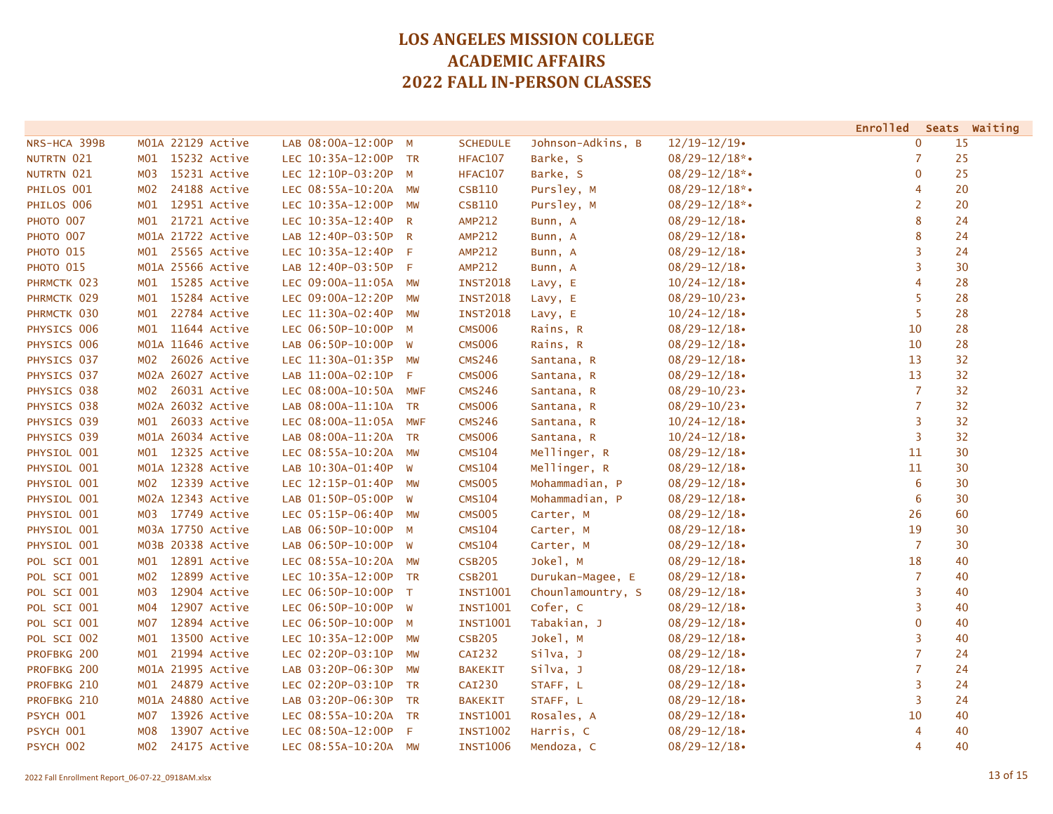|                  |                     |                      |                         |                 |                   |                    | <b>Enrolled</b> |    | Seats Waiting |
|------------------|---------------------|----------------------|-------------------------|-----------------|-------------------|--------------------|-----------------|----|---------------|
| NRS-HCA 399B     | M01A 22129 Active   | LAB 08:00A-12:00P M  |                         | <b>SCHEDULE</b> | Johnson-Adkins, B | $12/19 - 12/19$    | $\mathbf 0$     | 15 |               |
| NUTRTN 021       | 15232 Active<br>MO1 | LEC 10:35A-12:00P TR |                         | <b>HFAC107</b>  | Barke, S          | $08/29 - 12/18$ *• | 7               | 25 |               |
| NUTRTN 021       | 15231 Active<br>MO3 | LEC 12:10P-03:20P M  |                         | HFAC107         | Barke, S          | $08/29 - 12/18$ *• | $\mathbf 0$     | 25 |               |
| PHILOS 001       | 24188 Active<br>MO2 | LEC 08:55A-10:20A MW |                         | <b>CSB110</b>   | Pursley, M        | $08/29 - 12/18$ *• | 4               | 20 |               |
| PHILOS 006       | 12951 Active<br>MO1 | LEC 10:35A-12:00P    | MW                      | <b>CSB110</b>   | Pursley, M        | $08/29 - 12/18$ *• | 2               | 20 |               |
| <b>РНОТО 007</b> | 21721 Active<br>MO1 | LEC 10:35A-12:40P    | $\overline{\mathsf{R}}$ | <b>AMP212</b>   | Bunn, A           | $08/29 - 12/18$    | 8               | 24 |               |
| PHOTO 007        | M01A 21722 Active   | LAB 12:40P-03:50P R  |                         | <b>AMP212</b>   | Bunn, A           | $08/29 - 12/18$    | 8               | 24 |               |
| РНОТО 015        | 25565 Active<br>MO1 | LEC 10:35A-12:40P F  |                         | <b>AMP212</b>   | Bunn, A           | $08/29 - 12/18$    | 3               | 24 |               |
| РНОТО 015        | M01A 25566 Active   | LAB 12:40P-03:50P F  |                         | <b>AMP212</b>   | Bunn, A           | $08/29 - 12/18$    | 3               | 30 |               |
| PHRMCTK 023      | 15285 Active<br>MO1 | LEC 09:00A-11:05A MW |                         | <b>INST2018</b> | Lavy, E           | $10/24 - 12/18$    | 4               | 28 |               |
| PHRMCTK 029      | 15284 Active<br>MO1 | LEC 09:00A-12:20P    | <b>MW</b>               | <b>INST2018</b> | Lavy, E           | $08/29 - 10/23$    | 5               | 28 |               |
| PHRMCTK 030      | 22784 Active<br>MO1 | LEC 11:30A-02:40P    | <b>MW</b>               | <b>INST2018</b> | Lavy, E           | $10/24 - 12/18$    | 5               | 28 |               |
| PHYSICS 006      | 11644 Active<br>MO1 | LEC 06:50P-10:00P M  |                         | <b>CMS006</b>   | Rains, R          | $08/29 - 12/18$    | 10              | 28 |               |
| PHYSICS 006      | M01A 11646 Active   | LAB 06:50P-10:00P W  |                         | <b>CMS006</b>   | Rains, R          | $08/29 - 12/18$    | 10              | 28 |               |
| PHYSICS 037      | 26026 Active<br>MO2 | LEC 11:30A-01:35P MW |                         | <b>CMS246</b>   | Santana, R        | $08/29 - 12/18$    | 13              | 32 |               |
| PHYSICS 037      | M02A 26027 Active   | LAB 11:00A-02:10P    | F                       | <b>CMS006</b>   | Santana, R        | $08/29 - 12/18$    | 13              | 32 |               |
| PHYSICS 038      | 26031 Active<br>MO2 | LEC 08:00A-10:50A    | MWF                     | <b>CMS246</b>   | Santana, R        | $08/29 - 10/23$    | $\overline{7}$  | 32 |               |
| PHYSICS 038      | M02A 26032 Active   | LAB 08:00A-11:10A TR |                         | <b>CMS006</b>   | Santana, R        | $08/29 - 10/23$    | $\overline{7}$  | 32 |               |
| PHYSICS 039      | 26033 Active<br>MO1 | LEC 08:00A-11:05A    | <b>MWF</b>              | <b>CMS246</b>   | Santana, R        | $10/24 - 12/18$    | 3               | 32 |               |
| PHYSICS 039      | M01A 26034 Active   | LAB 08:00A-11:20A TR |                         | <b>CMS006</b>   | Santana, R        | $10/24 - 12/18$    | 3               | 32 |               |
| PHYSIOL 001      | M01 12325 Active    | LEC 08:55A-10:20A MW |                         | <b>CMS104</b>   | Mellinger, R      | $08/29 - 12/18$    | 11              | 30 |               |
| PHYSIOL 001      | M01A 12328 Active   | LAB 10:30A-01:40P    | W                       | <b>CMS104</b>   | Mellinger, R      | $08/29 - 12/18$    | 11              | 30 |               |
| PHYSIOL 001      | 12339 Active<br>MO2 | LEC 12:15P-01:40P    | <b>MW</b>               | <b>CMS005</b>   | Mohammadian, P    | $08/29 - 12/18$    | 6               | 30 |               |
| PHYSIOL 001      | M02A 12343 Active   | LAB 01:50P-05:00P W  |                         | <b>CMS104</b>   | Mohammadian, P    | $08/29 - 12/18$    | 6               | 30 |               |
| PHYSIOL 001      | M03 17749 Active    | LEC 05:15P-06:40P    | <b>MW</b>               | <b>CMS005</b>   | Carter, M         | $08/29 - 12/18$    | 26              | 60 |               |
| PHYSIOL 001      | M03A 17750 Active   | LAB 06:50P-10:00P M  |                         | <b>CMS104</b>   | Carter, M         | $08/29 - 12/18$    | 19              | 30 |               |
| PHYSIOL 001      | M03B 20338 Active   | LAB 06:50P-10:00P    | W                       | <b>CMS104</b>   | Carter, M         | $08/29 - 12/18$    | $\overline{7}$  | 30 |               |
| POL SCI 001      | 12891 Active<br>MO1 | LEC 08:55A-10:20A    | MW                      | <b>CSB205</b>   | Jokel, M          | $08/29 - 12/18$    | 18              | 40 |               |
| POL SCI 001      | 12899 Active<br>MO2 | LEC 10:35A-12:00P TR |                         | <b>CSB201</b>   | Durukan-Magee, E  | $08/29 - 12/18$    | 7               | 40 |               |
| POL SCI 001      | 12904 Active<br>M03 | LEC 06:50P-10:00P T  |                         | INST1001        | Chounlamountry, S | $08/29 - 12/18$    | 3               | 40 |               |
| POL SCI 001      | 12907 Active<br>M04 | LEC 06:50P-10:00P W  |                         | <b>INST1001</b> | Cofer, C          | $08/29 - 12/18$    | 3               | 40 |               |
| POL SCI 001      | 12894 Active<br>M07 | LEC 06:50P-10:00P    | $M_{\odot}$             | <b>INST1001</b> | Tabakian, J       | $08/29 - 12/18$    | $\mathbf 0$     | 40 |               |
| POL SCI 002      | 13500 Active<br>M01 | LEC 10:35A-12:00P    | <b>MW</b>               | <b>CSB205</b>   | Jokel, M          | $08/29 - 12/18$    | 3               | 40 |               |
| PROFBKG 200      | 21994 Active<br>MO1 | LEC 02:20P-03:10P    | <b>MW</b>               | <b>CAI232</b>   | Silva, J          | $08/29 - 12/18$    | $\overline{7}$  | 24 |               |
| PROFBKG 200      | M01A 21995 Active   | LAB 03:20P-06:30P    | <b>MW</b>               | <b>BAKEKIT</b>  | Silva, J          | $08/29 - 12/18$    | $\overline{7}$  | 24 |               |
| PROFBKG 210      | 24879 Active<br>MO1 | LEC 02:20P-03:10P TR |                         | <b>CAI230</b>   | STAFF, L          | $08/29 - 12/18$    | 3               | 24 |               |
| PROFBKG 210      | M01A 24880 Active   | LAB 03:20P-06:30P TR |                         | <b>BAKEKIT</b>  | STAFF, L          | $08/29 - 12/18$    | 3               | 24 |               |
| PSYCH 001        | 13926 Active<br>M07 | LEC 08:55A-10:20A TR |                         | <b>INST1001</b> | Rosales, A        | $08/29 - 12/18$    | 10              | 40 |               |
| PSYCH 001        | 13907 Active<br>M08 | LEC 08:50A-12:00P    | F                       | <b>INST1002</b> | Harris, C         | $08/29 - 12/18$    | 4               | 40 |               |
| PSYCH 002        | M02<br>24175 Active | LEC 08:55A-10:20A MW |                         | <b>INST1006</b> | Mendoza, C        | $08/29 - 12/18$    | 4               | 40 |               |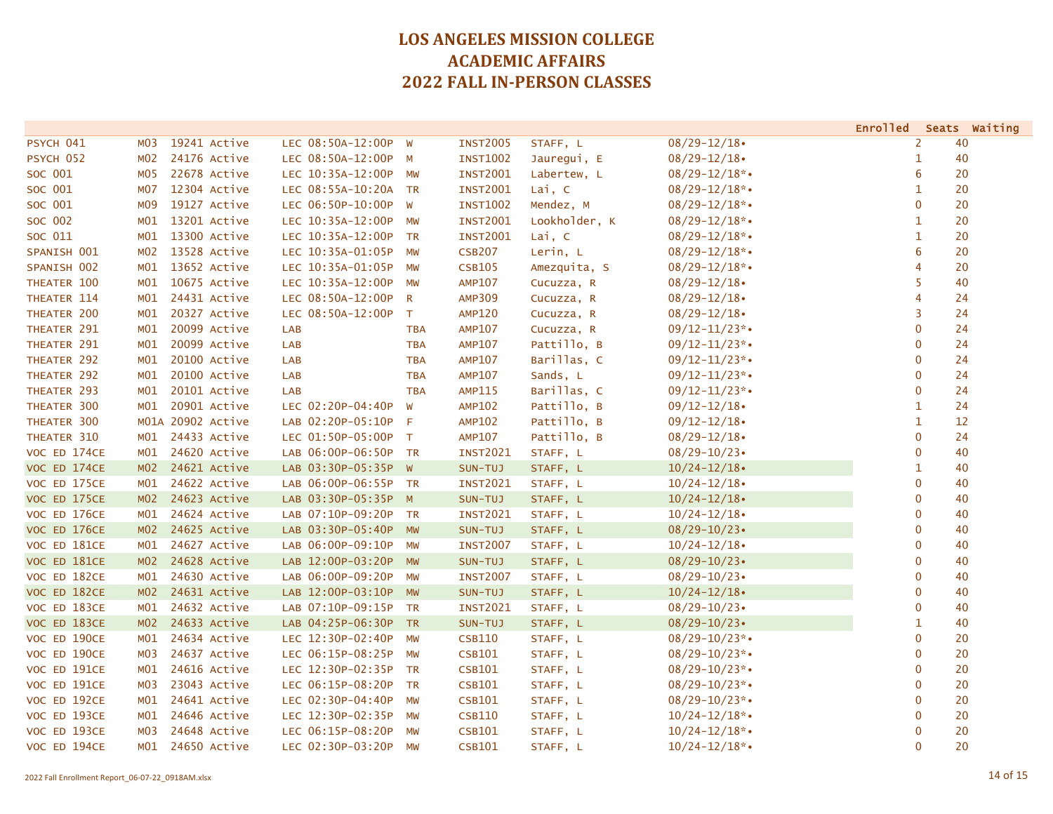|              |                 |                   |                      |            |                 |               |                    | <b>Enrolled</b> | Seats Waiting |
|--------------|-----------------|-------------------|----------------------|------------|-----------------|---------------|--------------------|-----------------|---------------|
| PSYCH 041    | M03             | 19241 Active      | LEC 08:50A-12:00P W  |            | <b>INST2005</b> | STAFF, L      | $08/29 - 12/18$    | $\overline{2}$  | 40            |
| PSYCH 052    | M02             | 24176 Active      | LEC 08:50A-12:00P    | M          | <b>INST1002</b> | Jauregui, E   | $08/29 - 12/18$    | $\mathbf{1}$    | 40            |
| SOC 001      | MO5             | 22678 Active      | LEC 10:35A-12:00P MW |            | <b>INST2001</b> | Labertew, L   | $08/29 - 12/18$ *• | 6               | 20            |
| SOC 001      | M07             | 12304 Active      | LEC 08:55A-10:20A TR |            | <b>INST2001</b> | Lai, C        | $08/29 - 12/18$ *• | $\mathbf{1}$    | 20            |
| SOC 001      | M <sub>09</sub> | 19127 Active      | LEC 06:50P-10:00P    | <b>W</b>   | <b>INST1002</b> | Mendez, M     | $08/29 - 12/18$ *• | $\mathbf 0$     | 20            |
| SOC 002      | M <sub>01</sub> | 13201 Active      | LEC 10:35A-12:00P    | MW         | <b>INST2001</b> | Lookholder, K | $08/29 - 12/18$ *• | $\mathbf{1}$    | 20            |
| SOC 011      | MO1             | 13300 Active      | LEC 10:35A-12:00P    | <b>TR</b>  | <b>INST2001</b> | Lai, C        | $08/29 - 12/18$ *• | $\mathbf{1}$    | 20            |
| SPANISH 001  | MO2             | 13528 Active      | LEC 10:35A-01:05P MW |            | <b>CSB207</b>   | Lerin, L      | $08/29 - 12/18$ *• | 6               | 20            |
| SPANISH 002  | MO1             | 13652 Active      | LEC 10:35A-01:05P MW |            | <b>CSB105</b>   | Amezquita, S  | $08/29 - 12/18$ *• | 4               | 20            |
| THEATER 100  | MO1             | 10675 Active      | LEC 10:35A-12:00P    | <b>MW</b>  | <b>AMP107</b>   | Cucuzza, R    | $08/29 - 12/18$    | 5               | 40            |
| THEATER 114  | MO1             | 24431 Active      | LEC 08:50A-12:00P    | <b>R</b>   | <b>AMP309</b>   | Cucuzza, R    | $08/29 - 12/18$    | 4               | 24            |
| THEATER 200  | MO1             | 20327 Active      | LEC 08:50A-12:00P    | $\top$     | <b>AMP120</b>   | Cucuzza, R    | $08/29 - 12/18$    | $\overline{3}$  | 24            |
| THEATER 291  | MO1             | 20099 Active      | LAB                  | <b>TBA</b> | <b>AMP107</b>   | Cucuzza, R    | $09/12 - 11/23$ *. | $\overline{0}$  | 24            |
| THEATER 291  | MO1             | 20099 Active      | LAB                  | <b>TBA</b> | <b>AMP107</b>   | Pattillo, B   | $09/12 - 11/23$ *• | $\overline{0}$  | 24            |
| THEATER 292  | MO1             | 20100 Active      | <b>LAB</b>           | <b>TBA</b> | <b>AMP107</b>   | Barillas, C   | $09/12 - 11/23$ *• | $\mathbf 0$     | 24            |
| THEATER 292  | M01             | 20100 Active      | LAB                  | <b>TBA</b> | <b>AMP107</b>   | Sands, L      | $09/12 - 11/23$ *• | $\mathbf 0$     | 24            |
| THEATER 293  | M01             | 20101 Active      | LAB                  | <b>TBA</b> | <b>AMP115</b>   | Barillas, C   | $09/12 - 11/23$ *• | $\mathbf{0}$    | 24            |
| THEATER 300  | M <sub>01</sub> | 20901 Active      | LEC 02:20P-04:40P    | W          | <b>AMP102</b>   | Pattillo, B   | $09/12 - 12/18$    | $\mathbf{1}$    | 24            |
| THEATER 300  |                 | M01A 20902 Active | LAB 02:20P-05:10P F  |            | <b>AMP102</b>   | Pattillo, B   | $09/12 - 12/18$    | $\mathbf{1}$    | 12            |
| THEATER 310  | MO1             | 24433 Active      | LEC 01:50P-05:00P T  |            | <b>AMP107</b>   | Pattillo, B   | $08/29 - 12/18$    | $\mathbf{0}$    | 24            |
| VOC ED 174CE | MO1             | 24620 Active      | LAB 06:00P-06:50P TR |            | <b>INST2021</b> | STAFF, L      | $08/29 - 10/23$    | $\mathbf 0$     | 40            |
| VOC ED 174CE | MO2             | 24621 Active      | LAB 03:30P-05:35P W  |            | SUN-TUJ         | STAFF, L      | $10/24 - 12/18$    | $\mathbf{1}$    | 40            |
| VOC ED 175CE | MO1             | 24622 Active      | LAB 06:00P-06:55P TR |            | <b>INST2021</b> | STAFF, L      | $10/24 - 12/18$    | $\mathbf{0}$    | 40            |
| VOC ED 175CE | M <sub>02</sub> | 24623 Active      | LAB 03:30P-05:35P M  |            | SUN-TUJ         | STAFF, L      | $10/24 - 12/18$    | $\overline{0}$  | 40            |
| VOC ED 176CE | MO1             | 24624 Active      | LAB 07:10P-09:20P TR |            | <b>INST2021</b> | STAFF, L      | $10/24 - 12/18$    | $\mathbf{0}$    | 40            |
| VOC ED 176CE | M <sub>02</sub> | 24625 Active      | LAB 03:30P-05:40P MW |            | SUN-TUJ         | STAFF, L      | $08/29 - 10/23$    | $\mathbf 0$     | 40            |
| VOC ED 181CE | MO1             | 24627 Active      | LAB 06:00P-09:10P    | <b>MW</b>  | <b>INST2007</b> | STAFF, L      | $10/24 - 12/18$    | $\mathbf 0$     | 40            |
| VOC ED 181CE | MO2             | 24628 Active      | LAB 12:00P-03:20P    | <b>MW</b>  | SUN-TUJ         | STAFF, L      | $08/29 - 10/23$    | $\mathbf 0$     | 40            |
| VOC ED 182CE | MO1             | 24630 Active      | LAB 06:00P-09:20P    | MW         | <b>INST2007</b> | STAFF, L      | $08/29 - 10/23$    | $\mathbf 0$     | 40            |
| VOC ED 182CE | MO2             | 24631 Active      | LAB 12:00P-03:10P MW |            | SUN-TUJ         | STAFF, L      | $10/24 - 12/18$    | $\overline{0}$  | 40            |
| VOC ED 183CE | MO1             | 24632 Active      | LAB 07:10P-09:15P TR |            | <b>INST2021</b> | STAFF, L      | $08/29 - 10/23$    | $\mathbf 0$     | 40            |
| VOC ED 183CE | MO2             | 24633 Active      | LAB 04:25P-06:30P TR |            | SUN-TUJ         | STAFF, L      | $08/29 - 10/23$    | $\mathbf{1}$    | 40            |
| VOC ED 190CE | MO1             | 24634 Active      | LEC 12:30P-02:40P    | MW         | <b>CSB110</b>   | STAFF, L      | $08/29 - 10/23$ *• | $\mathbf 0$     | 20            |
| VOC ED 190CE | M03             | 24637 Active      | LEC 06:15P-08:25P    | <b>MW</b>  | <b>CSB101</b>   | STAFF, L      | $08/29 - 10/23$ *• | $\mathbf 0$     | 20            |
| VOC ED 191CE | MO1             | 24616 Active      | LEC 12:30P-02:35P TR |            | <b>CSB101</b>   | STAFF, L      | $08/29 - 10/23$ *• | $\mathbf 0$     | 20            |
| VOC ED 191CE | M03             | 23043 Active      | LEC 06:15P-08:20P    | <b>TR</b>  | <b>CSB101</b>   | STAFF, L      | $08/29 - 10/23$ *• | $\mathbf 0$     | 20            |
| VOC ED 192CE | MO1             | 24641 Active      | LEC 02:30P-04:40P    | <b>MW</b>  | <b>CSB101</b>   | STAFF, L      | $08/29 - 10/23$ *• | $\mathbf 0$     | 20            |
| VOC ED 193CE | MO1             | 24646 Active      | LEC 12:30P-02:35P    | MW         | <b>CSB110</b>   | STAFF, L      | $10/24 - 12/18$ *• | $\mathbf 0$     | 20            |
| VOC ED 193CE | M03             | 24648 Active      | LEC 06:15P-08:20P    | MW         | <b>CSB101</b>   | STAFF, L      | $10/24 - 12/18$ *• | $\mathbf 0$     | 20            |
| VOC ED 194CE | MO1             | 24650 Active      | LEC 02:30P-03:20P    | <b>MW</b>  | <b>CSB101</b>   | STAFF, L      | $10/24 - 12/18$ *• | $\mathbf{0}$    | 20            |